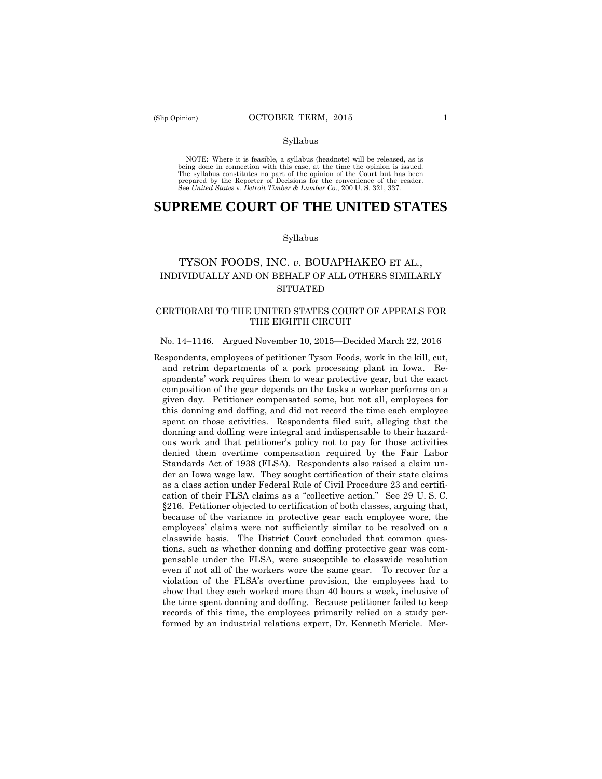#### Syllabus

NOTE: Where it is feasible, a syllabus (headnote) will be released, as is being done in connection with this case, at the time the opinion is issued. The syllabus constitutes no part of the opinion of the Court but has been<br>prepared by the Reporter of Decisions for the convenience of the reader.<br>See United States v. Detroit Timber & Lumber Co., 200 U. S. 321, 337.

# **SUPREME COURT OF THE UNITED STATES**

#### Syllabus

## TYSON FOODS, INC. *v*. BOUAPHAKEO ET AL., INDIVIDUALLY AND ON BEHALF OF ALL OTHERS SIMILARLY **SITUATED**

### CERTIORARI TO THE UNITED STATES COURT OF APPEALS FOR THE EIGHTH CIRCUIT

#### No. 14–1146. Argued November 10, 2015—Decided March 22, 2016

Respondents, employees of petitioner Tyson Foods, work in the kill, cut, and retrim departments of a pork processing plant in Iowa. Respondents' work requires them to wear protective gear, but the exact composition of the gear depends on the tasks a worker performs on a given day. Petitioner compensated some, but not all, employees for this donning and doffing, and did not record the time each employee spent on those activities. Respondents filed suit, alleging that the donning and doffing were integral and indispensable to their hazardous work and that petitioner's policy not to pay for those activities denied them overtime compensation required by the Fair Labor Standards Act of 1938 (FLSA). Respondents also raised a claim under an Iowa wage law. They sought certification of their state claims as a class action under Federal Rule of Civil Procedure 23 and certification of their FLSA claims as a "collective action." See 29 U. S. C. §216. Petitioner objected to certification of both classes, arguing that, because of the variance in protective gear each employee wore, the employees' claims were not sufficiently similar to be resolved on a classwide basis. The District Court concluded that common questions, such as whether donning and doffing protective gear was compensable under the FLSA, were susceptible to classwide resolution even if not all of the workers wore the same gear. To recover for a violation of the FLSA's overtime provision, the employees had to show that they each worked more than 40 hours a week, inclusive of the time spent donning and doffing. Because petitioner failed to keep records of this time, the employees primarily relied on a study performed by an industrial relations expert, Dr. Kenneth Mericle. Mer-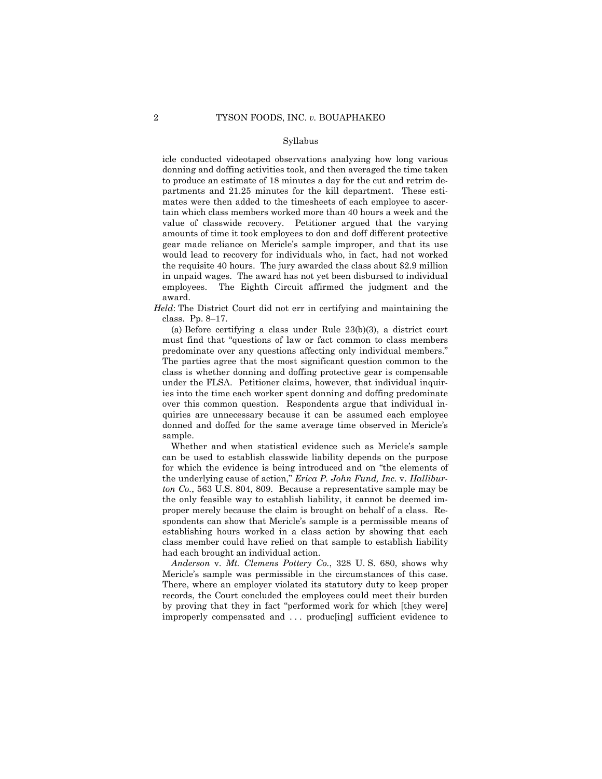#### Syllabus

icle conducted videotaped observations analyzing how long various donning and doffing activities took, and then averaged the time taken to produce an estimate of 18 minutes a day for the cut and retrim departments and 21.25 minutes for the kill department. These estimates were then added to the timesheets of each employee to ascertain which class members worked more than 40 hours a week and the value of classwide recovery. Petitioner argued that the varying amounts of time it took employees to don and doff different protective gear made reliance on Mericle's sample improper, and that its use would lead to recovery for individuals who, in fact, had not worked the requisite 40 hours. The jury awarded the class about \$2.9 million in unpaid wages. The award has not yet been disbursed to individual employees. The Eighth Circuit affirmed the judgment and the award.

*Held*: The District Court did not err in certifying and maintaining the class. Pp. 8–17.

 (a) Before certifying a class under Rule 23(b)(3), a district court must find that "questions of law or fact common to class members predominate over any questions affecting only individual members." The parties agree that the most significant question common to the class is whether donning and doffing protective gear is compensable under the FLSA. Petitioner claims, however, that individual inquiries into the time each worker spent donning and doffing predominate over this common question. Respondents argue that individual inquiries are unnecessary because it can be assumed each employee donned and doffed for the same average time observed in Mericle's sample.

Whether and when statistical evidence such as Mericle's sample can be used to establish classwide liability depends on the purpose for which the evidence is being introduced and on "the elements of the underlying cause of action," *Erica P. John Fund, Inc.* v. *Halliburton Co.*, 563 U.S. 804, 809. Because a representative sample may be the only feasible way to establish liability, it cannot be deemed improper merely because the claim is brought on behalf of a class. Respondents can show that Mericle's sample is a permissible means of establishing hours worked in a class action by showing that each class member could have relied on that sample to establish liability had each brought an individual action.

*Anderson* v. *Mt. Clemens Pottery Co.*, 328 U. S. 680, shows why Mericle's sample was permissible in the circumstances of this case. There, where an employer violated its statutory duty to keep proper records, the Court concluded the employees could meet their burden by proving that they in fact "performed work for which [they were] improperly compensated and . . . produc[ing] sufficient evidence to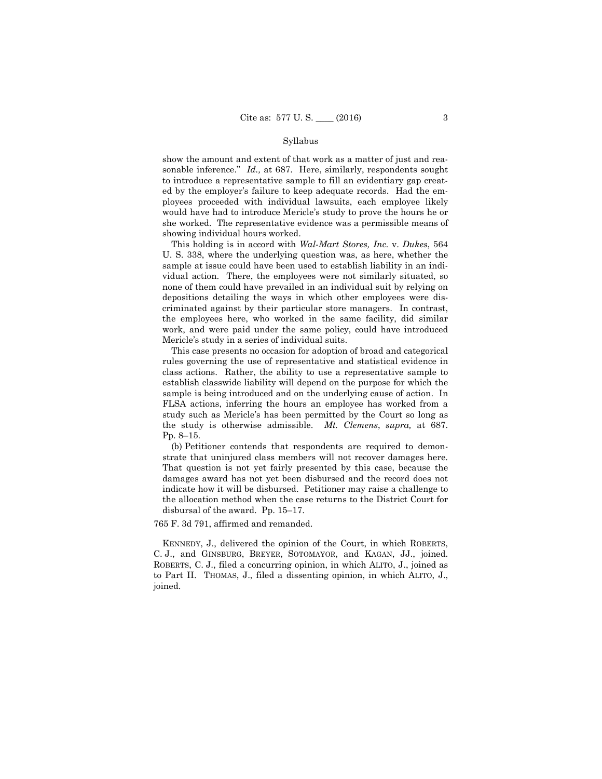#### Syllabus

show the amount and extent of that work as a matter of just and reasonable inference." *Id.,* at 687. Here, similarly, respondents sought to introduce a representative sample to fill an evidentiary gap created by the employer's failure to keep adequate records. Had the employees proceeded with individual lawsuits, each employee likely would have had to introduce Mericle's study to prove the hours he or she worked. The representative evidence was a permissible means of showing individual hours worked.

This holding is in accord with *Wal-Mart Stores, Inc.* v. *Dukes*, 564 U. S. 338, where the underlying question was, as here, whether the sample at issue could have been used to establish liability in an individual action. There, the employees were not similarly situated, so none of them could have prevailed in an individual suit by relying on depositions detailing the ways in which other employees were discriminated against by their particular store managers. In contrast, the employees here, who worked in the same facility, did similar work, and were paid under the same policy, could have introduced Mericle's study in a series of individual suits.

 This case presents no occasion for adoption of broad and categorical rules governing the use of representative and statistical evidence in class actions. Rather, the ability to use a representative sample to establish classwide liability will depend on the purpose for which the sample is being introduced and on the underlying cause of action. In FLSA actions, inferring the hours an employee has worked from a study such as Mericle's has been permitted by the Court so long as the study is otherwise admissible. *Mt. Clemens*, *supra,* at 687. Pp. 8–15.

 (b) Petitioner contends that respondents are required to demonstrate that uninjured class members will not recover damages here. That question is not yet fairly presented by this case, because the damages award has not yet been disbursed and the record does not indicate how it will be disbursed. Petitioner may raise a challenge to the allocation method when the case returns to the District Court for disbursal of the award. Pp. 15–17.

765 F. 3d 791, affirmed and remanded.

 KENNEDY, J., delivered the opinion of the Court, in which ROBERTS, C. J., and GINSBURG, BREYER, SOTOMAYOR, and KAGAN, JJ., joined. ROBERTS, C. J., filed a concurring opinion, in which ALITO, J., joined as to Part II. THOMAS, J., filed a dissenting opinion, in which ALITO, J., joined.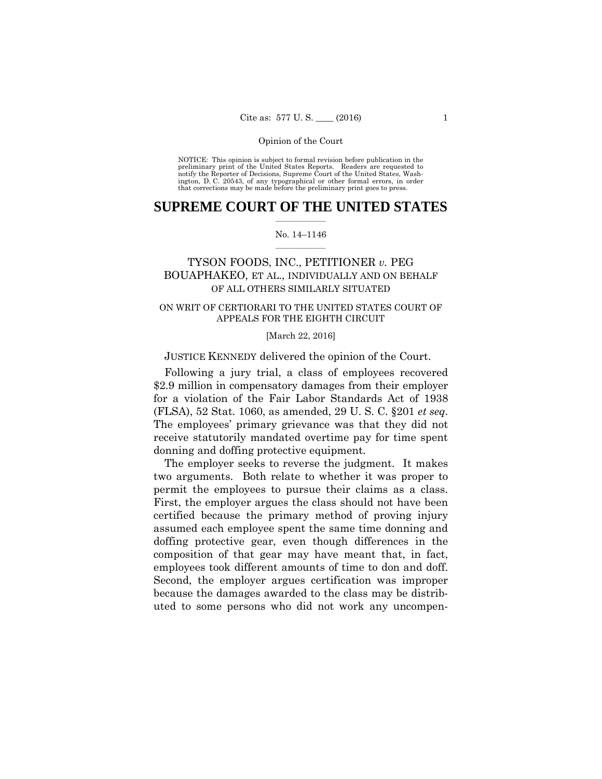NOTICE: This opinion is subject to formal revision before publication in the preliminary print of the United States Reports. Readers are requested to notify the Reporter of Decisions, Supreme Court of the United States, Wa ington, D. C. 20543, of any typographical or other formal errors, in order that corrections may be made before the preliminary print goes to press.

### **SUPREME COURT OF THE UNITED STATES**  $\overline{\phantom{a}}$  , where  $\overline{\phantom{a}}$

### No. 14–1146  $\overline{\phantom{a}}$  , where  $\overline{\phantom{a}}$

## TYSON FOODS, INC., PETITIONER *v.* PEG BOUAPHAKEO, ET AL., INDIVIDUALLY AND ON BEHALF OF ALL OTHERS SIMILARLY SITUATED

### ON WRIT OF CERTIORARI TO THE UNITED STATES COURT OF APPEALS FOR THE EIGHTH CIRCUIT

[March 22, 2016]

JUSTICE KENNEDY delivered the opinion of the Court.

Following a jury trial, a class of employees recovered \$2.9 million in compensatory damages from their employer for a violation of the Fair Labor Standards Act of 1938 (FLSA), 52 Stat. 1060, as amended, 29 U. S. C. §201 *et seq*. The employees' primary grievance was that they did not receive statutorily mandated overtime pay for time spent donning and doffing protective equipment.

The employer seeks to reverse the judgment. It makes two arguments. Both relate to whether it was proper to permit the employees to pursue their claims as a class. First, the employer argues the class should not have been certified because the primary method of proving injury assumed each employee spent the same time donning and doffing protective gear, even though differences in the composition of that gear may have meant that, in fact, employees took different amounts of time to don and doff. Second, the employer argues certification was improper because the damages awarded to the class may be distributed to some persons who did not work any uncompen-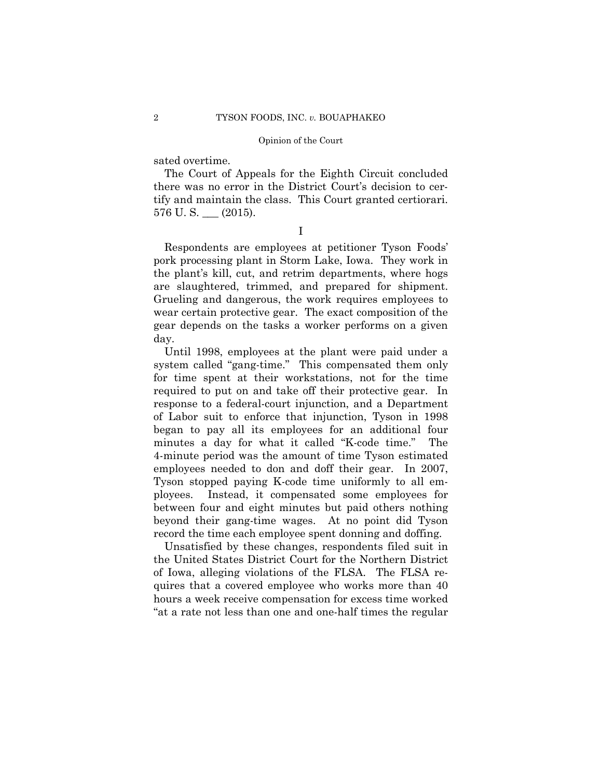sated overtime.

The Court of Appeals for the Eighth Circuit concluded there was no error in the District Court's decision to certify and maintain the class. This Court granted certiorari. 576 U. S. \_\_\_ (2015).

I

 Respondents are employees at petitioner Tyson Foods' pork processing plant in Storm Lake, Iowa. They work in the plant's kill, cut, and retrim departments, where hogs are slaughtered, trimmed, and prepared for shipment. Grueling and dangerous, the work requires employees to wear certain protective gear. The exact composition of the gear depends on the tasks a worker performs on a given day.

Until 1998, employees at the plant were paid under a system called "gang-time." This compensated them only for time spent at their workstations, not for the time required to put on and take off their protective gear. In response to a federal-court injunction, and a Department of Labor suit to enforce that injunction, Tyson in 1998 began to pay all its employees for an additional four minutes a day for what it called "K-code time." The 4-minute period was the amount of time Tyson estimated employees needed to don and doff their gear. In 2007, Tyson stopped paying K-code time uniformly to all employees. Instead, it compensated some employees for between four and eight minutes but paid others nothing beyond their gang-time wages. At no point did Tyson record the time each employee spent donning and doffing.

Unsatisfied by these changes, respondents filed suit in the United States District Court for the Northern District of Iowa, alleging violations of the FLSA. The FLSA requires that a covered employee who works more than 40 hours a week receive compensation for excess time worked "at a rate not less than one and one-half times the regular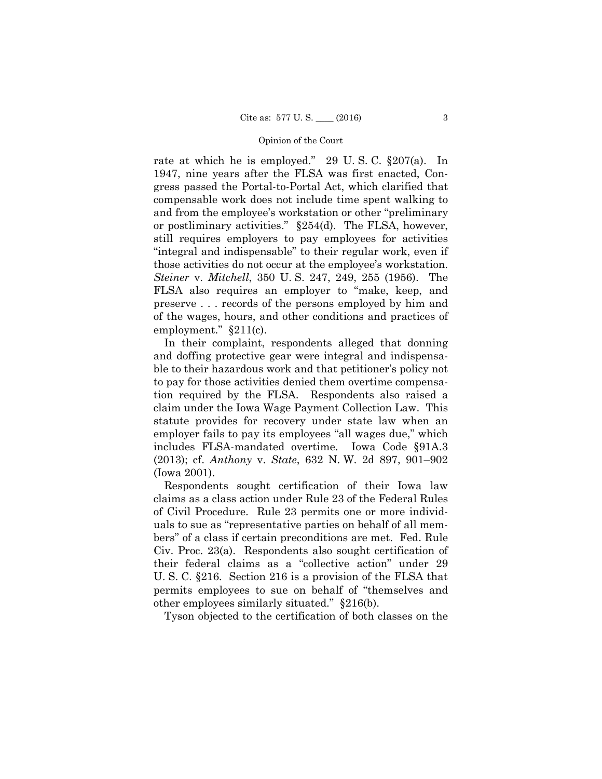rate at which he is employed." 29 U. S. C. §207(a). In 1947, nine years after the FLSA was first enacted, Congress passed the Portal-to-Portal Act, which clarified that compensable work does not include time spent walking to and from the employee's workstation or other "preliminary or postliminary activities." §254(d). The FLSA, however, still requires employers to pay employees for activities "integral and indispensable" to their regular work, even if those activities do not occur at the employee's workstation. *Steiner* v. *Mitchell*, 350 U. S. 247, 249, 255 (1956). The FLSA also requires an employer to "make, keep, and preserve . . . records of the persons employed by him and of the wages, hours, and other conditions and practices of employment." §211(c).

In their complaint, respondents alleged that donning and doffing protective gear were integral and indispensable to their hazardous work and that petitioner's policy not to pay for those activities denied them overtime compensation required by the FLSA. Respondents also raised a claim under the Iowa Wage Payment Collection Law. This statute provides for recovery under state law when an employer fails to pay its employees "all wages due," which includes FLSA-mandated overtime. Iowa Code §91A.3 (2013); cf. *Anthony* v. *State*, 632 N. W. 2d 897, 901–902 (Iowa 2001).

 Respondents sought certification of their Iowa law claims as a class action under Rule 23 of the Federal Rules of Civil Procedure. Rule 23 permits one or more individuals to sue as "representative parties on behalf of all members" of a class if certain preconditions are met. Fed. Rule Civ. Proc. 23(a). Respondents also sought certification of their federal claims as a "collective action" under 29 U. S. C. §216. Section 216 is a provision of the FLSA that permits employees to sue on behalf of "themselves and other employees similarly situated." §216(b).

Tyson objected to the certification of both classes on the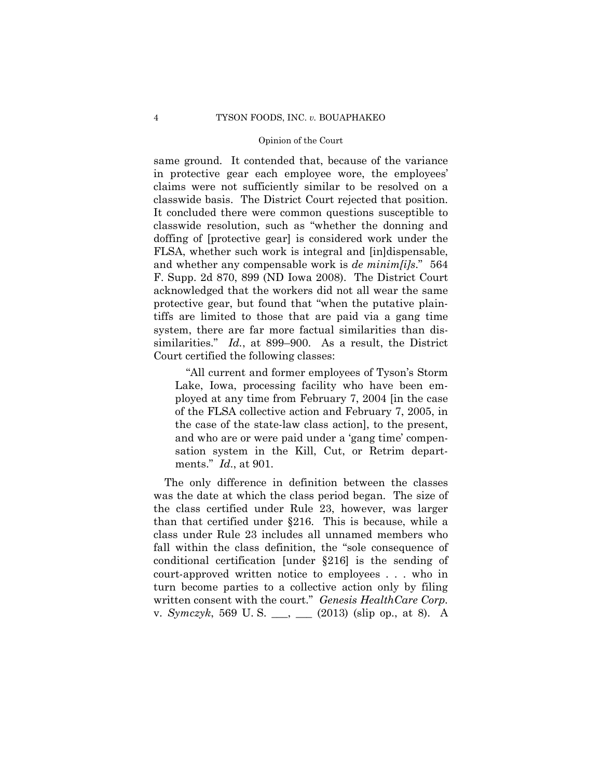same ground. It contended that, because of the variance in protective gear each employee wore, the employees' claims were not sufficiently similar to be resolved on a classwide basis. The District Court rejected that position. It concluded there were common questions susceptible to classwide resolution, such as "whether the donning and doffing of [protective gear] is considered work under the FLSA, whether such work is integral and [in]dispensable, and whether any compensable work is *de minim[i]s*." 564 F. Supp. 2d 870, 899 (ND Iowa 2008). The District Court acknowledged that the workers did not all wear the same protective gear, but found that "when the putative plaintiffs are limited to those that are paid via a gang time system, there are far more factual similarities than dissimilarities." *Id.*, at 899–900. As a result, the District Court certified the following classes:

 "All current and former employees of Tyson's Storm Lake, Iowa, processing facility who have been employed at any time from February 7, 2004 [in the case of the FLSA collective action and February 7, 2005, in the case of the state-law class action], to the present, and who are or were paid under a 'gang time' compensation system in the Kill, Cut, or Retrim departments." *Id*., at 901.

The only difference in definition between the classes was the date at which the class period began. The size of the class certified under Rule 23, however, was larger than that certified under §216. This is because, while a class under Rule 23 includes all unnamed members who fall within the class definition, the "sole consequence of conditional certification [under §216] is the sending of court-approved written notice to employees . . . who in turn become parties to a collective action only by filing written consent with the court." *Genesis HealthCare Corp.* v. *Symczyk*, 569 U. S. \_\_\_, \_\_\_ (2013) (slip op., at 8). A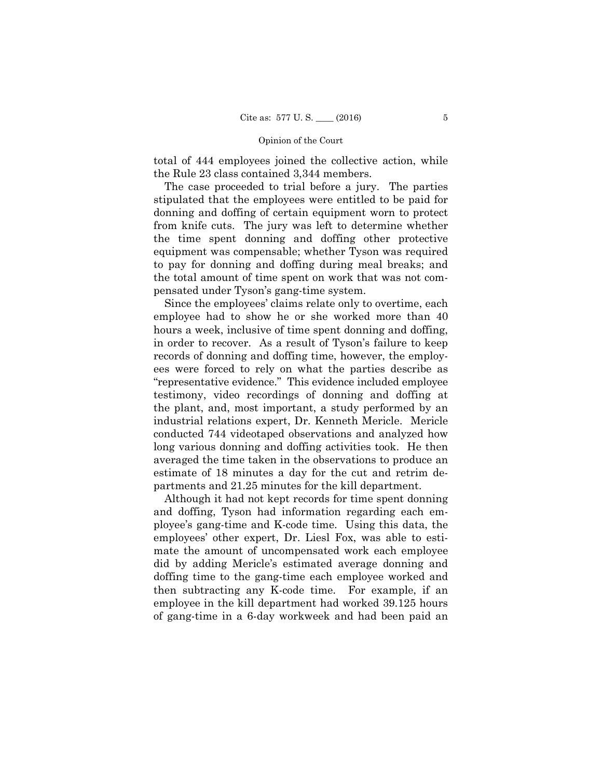total of 444 employees joined the collective action, while the Rule 23 class contained 3,344 members.

 The case proceeded to trial before a jury. The parties stipulated that the employees were entitled to be paid for donning and doffing of certain equipment worn to protect from knife cuts. The jury was left to determine whether the time spent donning and doffing other protective equipment was compensable; whether Tyson was required to pay for donning and doffing during meal breaks; and the total amount of time spent on work that was not compensated under Tyson's gang-time system.

Since the employees' claims relate only to overtime, each employee had to show he or she worked more than 40 hours a week, inclusive of time spent donning and doffing, in order to recover. As a result of Tyson's failure to keep records of donning and doffing time, however, the employees were forced to rely on what the parties describe as "representative evidence." This evidence included employee testimony, video recordings of donning and doffing at the plant, and, most important, a study performed by an industrial relations expert, Dr. Kenneth Mericle. Mericle conducted 744 videotaped observations and analyzed how long various donning and doffing activities took. He then averaged the time taken in the observations to produce an estimate of 18 minutes a day for the cut and retrim departments and 21.25 minutes for the kill department.

Although it had not kept records for time spent donning and doffing, Tyson had information regarding each employee's gang-time and K-code time. Using this data, the employees' other expert, Dr. Liesl Fox, was able to estimate the amount of uncompensated work each employee did by adding Mericle's estimated average donning and doffing time to the gang-time each employee worked and then subtracting any K-code time. For example, if an employee in the kill department had worked 39.125 hours of gang-time in a 6-day workweek and had been paid an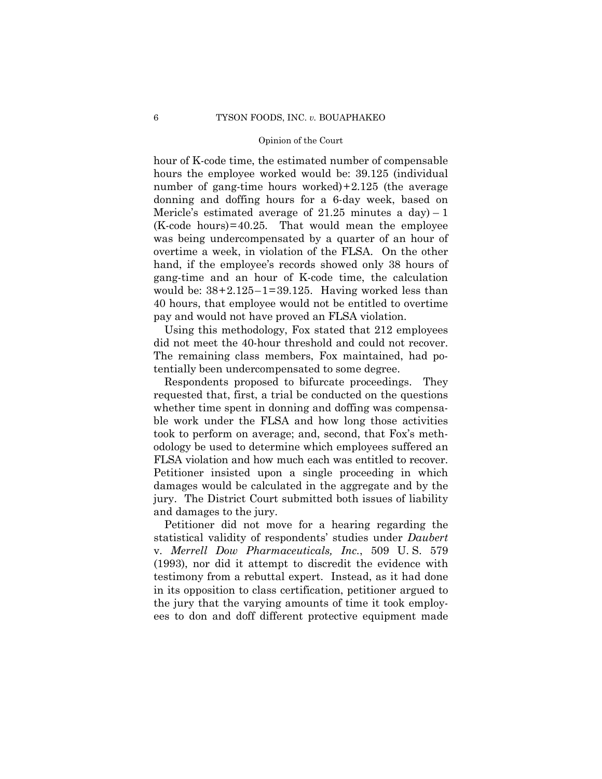hour of K-code time, the estimated number of compensable hours the employee worked would be: 39.125 (individual number of gang-time hours worked)+2.125 (the average donning and doffing hours for a 6-day week, based on Mericle's estimated average of  $21.25$  minutes a day) - 1 (K-code hours)=40.25. That would mean the employee was being undercompensated by a quarter of an hour of overtime a week, in violation of the FLSA. On the other hand, if the employee's records showed only 38 hours of gang-time and an hour of K-code time, the calculation would be:  $38+2.125-1=39.125$ . Having worked less than 40 hours, that employee would not be entitled to overtime pay and would not have proved an FLSA violation.

 Using this methodology, Fox stated that 212 employees did not meet the 40-hour threshold and could not recover. The remaining class members, Fox maintained, had potentially been undercompensated to some degree.

Respondents proposed to bifurcate proceedings. They requested that, first, a trial be conducted on the questions whether time spent in donning and doffing was compensable work under the FLSA and how long those activities took to perform on average; and, second, that Fox's methodology be used to determine which employees suffered an FLSA violation and how much each was entitled to recover. Petitioner insisted upon a single proceeding in which damages would be calculated in the aggregate and by the jury. The District Court submitted both issues of liability and damages to the jury.

 Petitioner did not move for a hearing regarding the statistical validity of respondents' studies under *Daubert*  v. *Merrell Dow Pharmaceuticals, Inc.*, 509 U. S. 579 (1993), nor did it attempt to discredit the evidence with testimony from a rebuttal expert. Instead, as it had done in its opposition to class certification, petitioner argued to the jury that the varying amounts of time it took employees to don and doff different protective equipment made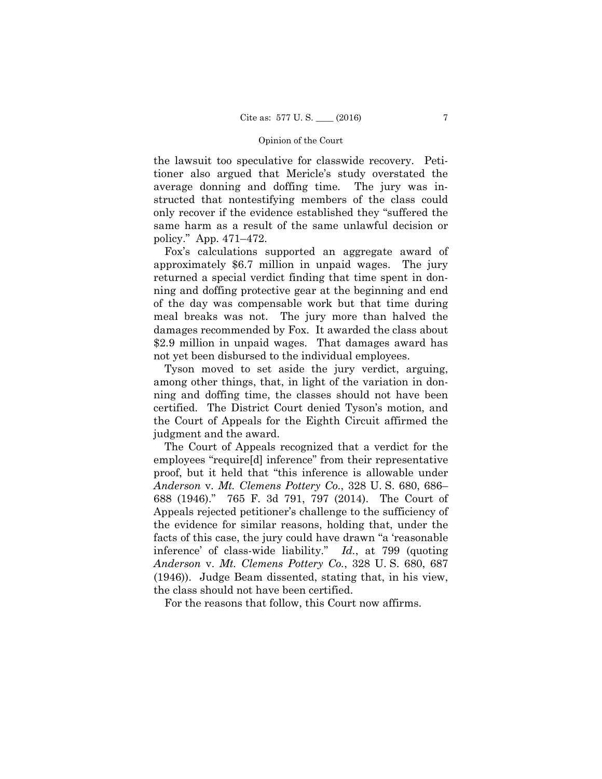the lawsuit too speculative for classwide recovery. Petitioner also argued that Mericle's study overstated the average donning and doffing time. The jury was instructed that nontestifying members of the class could only recover if the evidence established they "suffered the same harm as a result of the same unlawful decision or policy." App. 471–472.

Fox's calculations supported an aggregate award of approximately \$6.7 million in unpaid wages. The jury returned a special verdict finding that time spent in donning and doffing protective gear at the beginning and end of the day was compensable work but that time during meal breaks was not. The jury more than halved the damages recommended by Fox. It awarded the class about \$2.9 million in unpaid wages. That damages award has not yet been disbursed to the individual employees.

Tyson moved to set aside the jury verdict, arguing, among other things, that, in light of the variation in donning and doffing time, the classes should not have been certified. The District Court denied Tyson's motion, and the Court of Appeals for the Eighth Circuit affirmed the judgment and the award.

The Court of Appeals recognized that a verdict for the employees "require[d] inference" from their representative proof, but it held that "this inference is allowable under *Anderson* v. *Mt. Clemens Pottery Co.*, 328 U. S. 680, 686– 688 (1946)." 765 F. 3d 791, 797 (2014). The Court of Appeals rejected petitioner's challenge to the sufficiency of the evidence for similar reasons, holding that, under the facts of this case, the jury could have drawn "a 'reasonable inference' of class-wide liability." *Id.*, at 799 (quoting *Anderson* v. *Mt. Clemens Pottery Co.*, 328 U. S. 680, 687 (1946)). Judge Beam dissented, stating that, in his view, the class should not have been certified.

For the reasons that follow, this Court now affirms.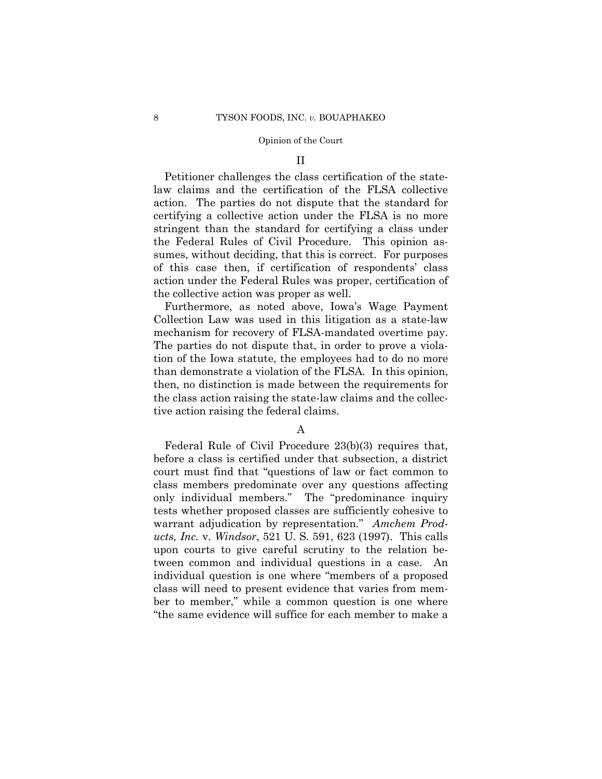### II

Petitioner challenges the class certification of the statelaw claims and the certification of the FLSA collective action. The parties do not dispute that the standard for certifying a collective action under the FLSA is no more stringent than the standard for certifying a class under the Federal Rules of Civil Procedure. This opinion assumes, without deciding, that this is correct. For purposes of this case then, if certification of respondents' class action under the Federal Rules was proper, certification of the collective action was proper as well.

Furthermore, as noted above, Iowa's Wage Payment Collection Law was used in this litigation as a state-law mechanism for recovery of FLSA-mandated overtime pay. The parties do not dispute that, in order to prove a violation of the Iowa statute, the employees had to do no more than demonstrate a violation of the FLSA. In this opinion, then, no distinction is made between the requirements for the class action raising the state-law claims and the collective action raising the federal claims.

## A

Federal Rule of Civil Procedure 23(b)(3) requires that, before a class is certified under that subsection, a district court must find that "questions of law or fact common to class members predominate over any questions affecting only individual members." The "predominance inquiry tests whether proposed classes are sufficiently cohesive to warrant adjudication by representation*.*" *Amchem Products, Inc.* v. *Windsor*, 521 U. S. 591, 623 (1997). This calls upon courts to give careful scrutiny to the relation between common and individual questions in a case. An individual question is one where "members of a proposed class will need to present evidence that varies from member to member," while a common question is one where "the same evidence will suffice for each member to make a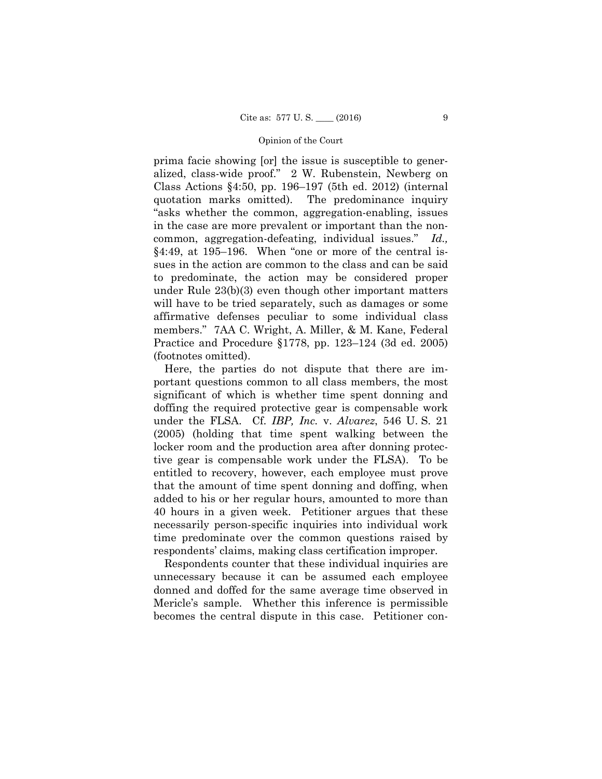prima facie showing [or] the issue is susceptible to generalized, class-wide proof." 2 W. Rubenstein, Newberg on Class Actions §4:50, pp. 196–197 (5th ed. 2012) (internal quotation marks omitted). The predominance inquiry "asks whether the common, aggregation-enabling, issues in the case are more prevalent or important than the noncommon, aggregation-defeating, individual issues." *Id.,* §4:49, at 195–196. When "one or more of the central issues in the action are common to the class and can be said to predominate, the action may be considered proper under Rule 23(b)(3) even though other important matters will have to be tried separately, such as damages or some affirmative defenses peculiar to some individual class members." 7AA C. Wright, A. Miller, & M. Kane, Federal Practice and Procedure §1778, pp. 123–124 (3d ed. 2005) (footnotes omitted).

Here, the parties do not dispute that there are important questions common to all class members, the most significant of which is whether time spent donning and doffing the required protective gear is compensable work under the FLSA. Cf. *IBP, Inc.* v. *Alvarez*, 546 U. S. 21 (2005) (holding that time spent walking between the locker room and the production area after donning protective gear is compensable work under the FLSA). To be entitled to recovery, however, each employee must prove that the amount of time spent donning and doffing, when added to his or her regular hours, amounted to more than 40 hours in a given week. Petitioner argues that these necessarily person-specific inquiries into individual work time predominate over the common questions raised by respondents' claims, making class certification improper.

Respondents counter that these individual inquiries are unnecessary because it can be assumed each employee donned and doffed for the same average time observed in Mericle's sample. Whether this inference is permissible becomes the central dispute in this case. Petitioner con-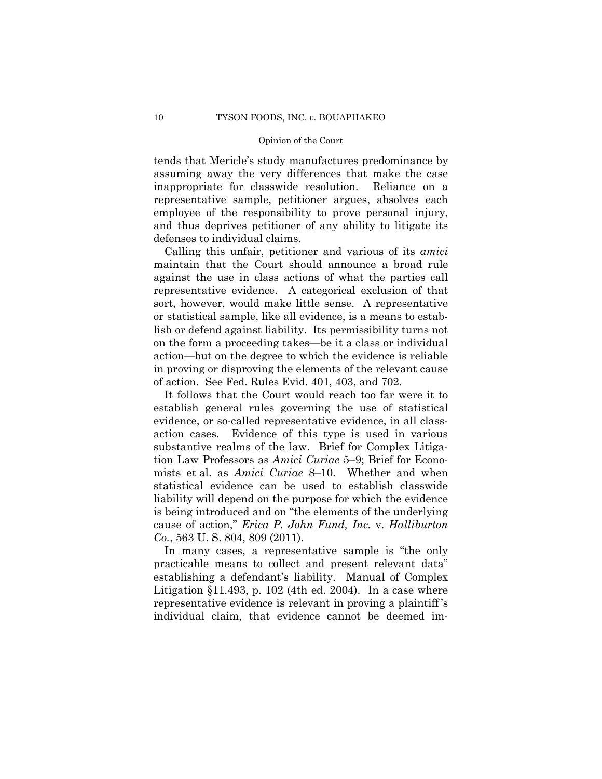tends that Mericle's study manufactures predominance by assuming away the very differences that make the case inappropriate for classwide resolution. Reliance on a representative sample, petitioner argues, absolves each employee of the responsibility to prove personal injury, and thus deprives petitioner of any ability to litigate its defenses to individual claims.

Calling this unfair, petitioner and various of its *amici* maintain that the Court should announce a broad rule against the use in class actions of what the parties call representative evidence. A categorical exclusion of that sort, however, would make little sense. A representative or statistical sample, like all evidence, is a means to establish or defend against liability. Its permissibility turns not on the form a proceeding takes—be it a class or individual action—but on the degree to which the evidence is reliable in proving or disproving the elements of the relevant cause of action. See Fed. Rules Evid. 401, 403, and 702.

It follows that the Court would reach too far were it to establish general rules governing the use of statistical evidence, or so-called representative evidence, in all classaction cases. Evidence of this type is used in various substantive realms of the law. Brief for Complex Litigation Law Professors as *Amici Curiae* 5–9; Brief for Economists et al. as *Amici Curiae* 8–10. Whether and when statistical evidence can be used to establish classwide liability will depend on the purpose for which the evidence is being introduced and on "the elements of the underlying cause of action," *Erica P. John Fund, Inc.* v. *Halliburton Co.*, 563 U. S. 804, 809 (2011).

In many cases, a representative sample is "the only practicable means to collect and present relevant data" establishing a defendant's liability. Manual of Complex Litigation  $$11.493$ , p. 102 (4th ed. 2004). In a case where representative evidence is relevant in proving a plaintiff 's individual claim, that evidence cannot be deemed im-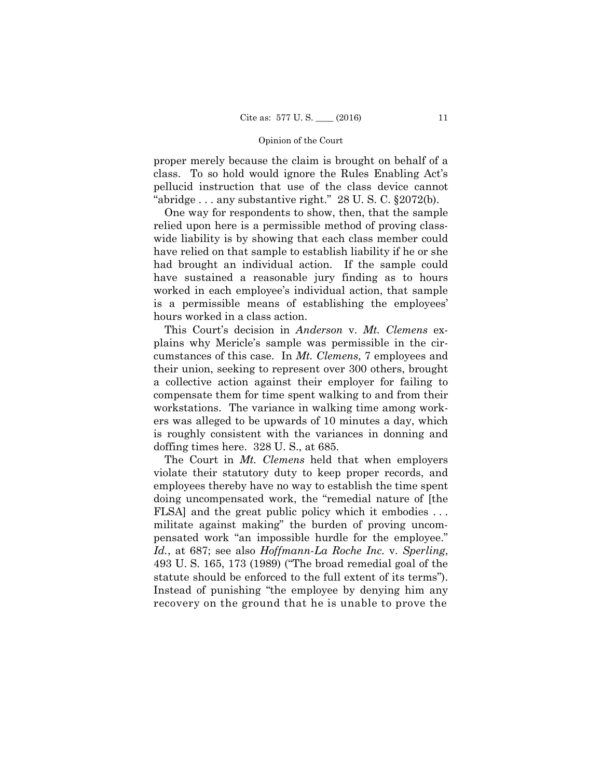proper merely because the claim is brought on behalf of a class. To so hold would ignore the Rules Enabling Act's pellucid instruction that use of the class device cannot "abridge  $\ldots$  any substantive right." 28 U.S.C.  $\S 2072(b)$ .

One way for respondents to show, then, that the sample relied upon here is a permissible method of proving classwide liability is by showing that each class member could have relied on that sample to establish liability if he or she had brought an individual action. If the sample could have sustained a reasonable jury finding as to hours worked in each employee's individual action, that sample is a permissible means of establishing the employees' hours worked in a class action.

This Court's decision in *Anderson* v. *Mt. Clemens* explains why Mericle's sample was permissible in the circumstances of this case. In *Mt. Clemens*, 7 employees and their union, seeking to represent over 300 others, brought a collective action against their employer for failing to compensate them for time spent walking to and from their workstations. The variance in walking time among workers was alleged to be upwards of 10 minutes a day, which is roughly consistent with the variances in donning and doffing times here. 328 U. S., at 685.

The Court in *Mt. Clemens* held that when employers violate their statutory duty to keep proper records, and employees thereby have no way to establish the time spent doing uncompensated work, the "remedial nature of [the FLSA] and the great public policy which it embodies . . . militate against making" the burden of proving uncompensated work "an impossible hurdle for the employee." *Id.*, at 687; see also *Hoffmann-La Roche Inc.* v. *Sperling*, 493 U. S. 165, 173 (1989) ("The broad remedial goal of the statute should be enforced to the full extent of its terms"). Instead of punishing "the employee by denying him any recovery on the ground that he is unable to prove the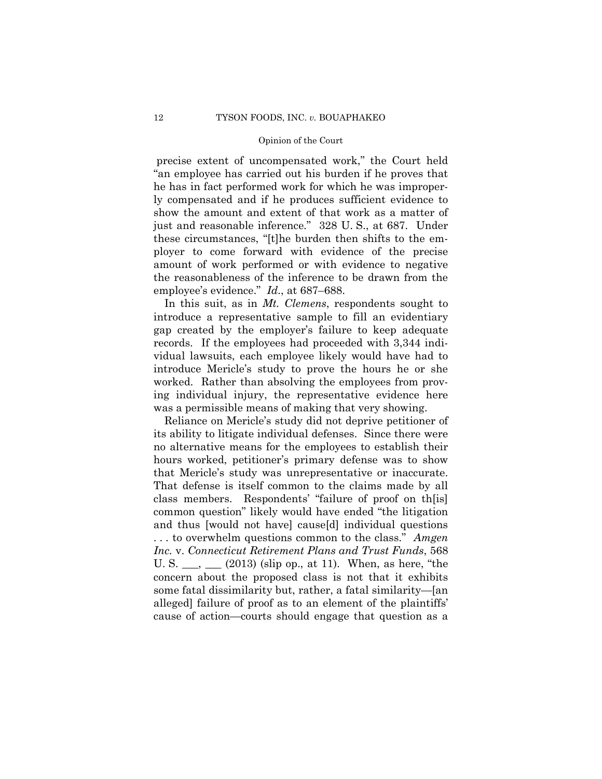precise extent of uncompensated work," the Court held "an employee has carried out his burden if he proves that he has in fact performed work for which he was improperly compensated and if he produces sufficient evidence to show the amount and extent of that work as a matter of just and reasonable inference." 328 U. S., at 687. Under these circumstances, "[t]he burden then shifts to the employer to come forward with evidence of the precise amount of work performed or with evidence to negative the reasonableness of the inference to be drawn from the employee's evidence." *Id*., at 687–688.

In this suit, as in *Mt. Clemens*, respondents sought to introduce a representative sample to fill an evidentiary gap created by the employer's failure to keep adequate records. If the employees had proceeded with 3,344 individual lawsuits, each employee likely would have had to introduce Mericle's study to prove the hours he or she worked. Rather than absolving the employees from proving individual injury, the representative evidence here was a permissible means of making that very showing.

Reliance on Mericle's study did not deprive petitioner of its ability to litigate individual defenses. Since there were no alternative means for the employees to establish their hours worked, petitioner's primary defense was to show that Mericle's study was unrepresentative or inaccurate. That defense is itself common to the claims made by all class members. Respondents' "failure of proof on th[is] common question" likely would have ended "the litigation and thus [would not have] cause[d] individual questions . . . to overwhelm questions common to the class." *Amgen Inc.* v. *Connecticut Retirement Plans and Trust Funds*, 568 U. S.  $\_\_\_\_\_\_\_\_\_\$  (2013) (slip op., at 11). When, as here, "the concern about the proposed class is not that it exhibits some fatal dissimilarity but, rather, a fatal similarity—[an alleged] failure of proof as to an element of the plaintiffs' cause of action—courts should engage that question as a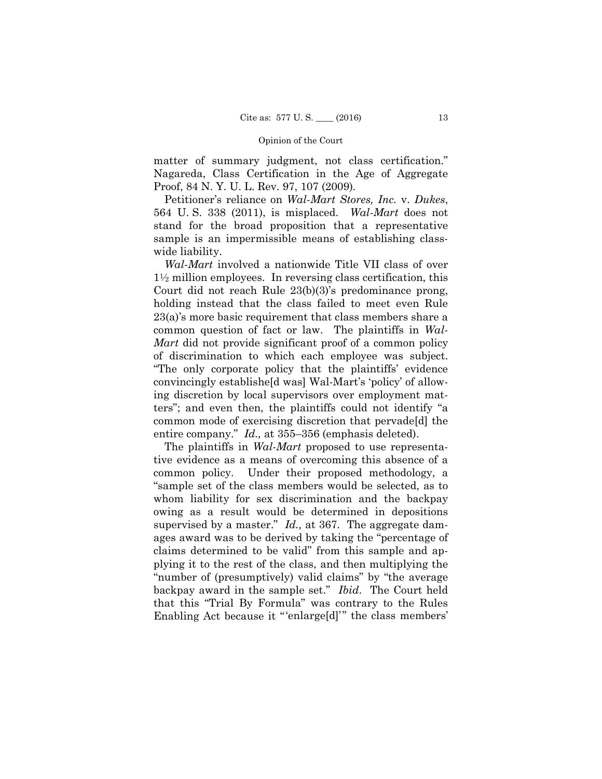matter of summary judgment, not class certification." Nagareda, Class Certification in the Age of Aggregate Proof, 84 N. Y. U. L. Rev. 97, 107 (2009)*.*

Petitioner's reliance on *Wal-Mart Stores, Inc.* v. *Dukes*, 564 U. S. 338 (2011), is misplaced. *Wal-Mart* does not stand for the broad proposition that a representative sample is an impermissible means of establishing classwide liability.

*Wal-Mart* involved a nationwide Title VII class of over  $1\frac{1}{2}$  million employees. In reversing class certification, this Court did not reach Rule 23(b)(3)'s predominance prong, holding instead that the class failed to meet even Rule 23(a)'s more basic requirement that class members share a common question of fact or law. The plaintiffs in *Wal-Mart* did not provide significant proof of a common policy of discrimination to which each employee was subject. "The only corporate policy that the plaintiffs' evidence convincingly establishe[d was] Wal-Mart's 'policy' of allowing discretion by local supervisors over employment matters"; and even then, the plaintiffs could not identify "a common mode of exercising discretion that pervade[d] the entire company." *Id.,* at 355–356 (emphasis deleted).

The plaintiffs in *Wal-Mart* proposed to use representative evidence as a means of overcoming this absence of a common policy. Under their proposed methodology, a "sample set of the class members would be selected, as to whom liability for sex discrimination and the backpay owing as a result would be determined in depositions supervised by a master." *Id.,* at 367. The aggregate damages award was to be derived by taking the "percentage of claims determined to be valid" from this sample and applying it to the rest of the class, and then multiplying the "number of (presumptively) valid claims" by "the average backpay award in the sample set." *Ibid*. The Court held that this "Trial By Formula" was contrary to the Rules Enabling Act because it "'enlarge[d]'" the class members'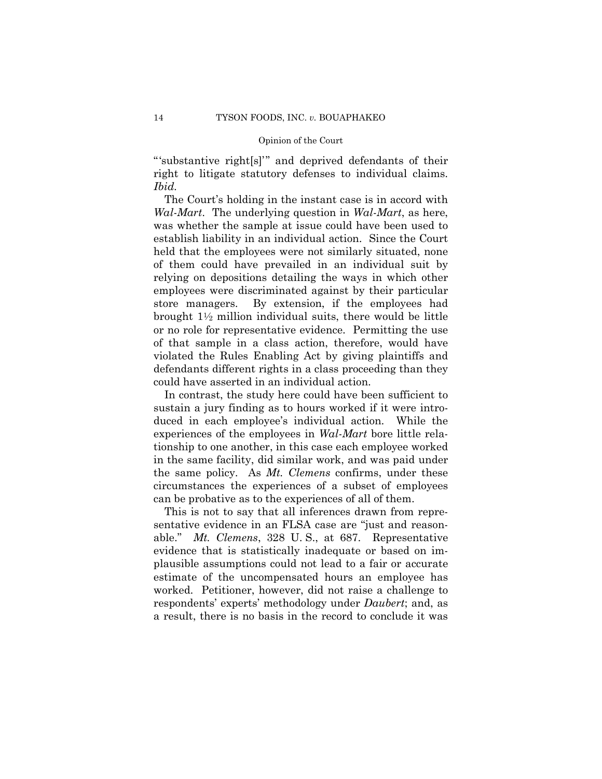"'substantive right[s]'" and deprived defendants of their right to litigate statutory defenses to individual claims. *Ibid.*

The Court's holding in the instant case is in accord with *Wal-Mart*. The underlying question in *Wal-Mart*, as here, was whether the sample at issue could have been used to establish liability in an individual action. Since the Court held that the employees were not similarly situated, none of them could have prevailed in an individual suit by relying on depositions detailing the ways in which other employees were discriminated against by their particular store managers. By extension, if the employees had brought  $1\frac{1}{2}$  million individual suits, there would be little or no role for representative evidence. Permitting the use of that sample in a class action, therefore, would have violated the Rules Enabling Act by giving plaintiffs and defendants different rights in a class proceeding than they could have asserted in an individual action.

In contrast, the study here could have been sufficient to sustain a jury finding as to hours worked if it were introduced in each employee's individual action. While the experiences of the employees in *Wal-Mart* bore little relationship to one another, in this case each employee worked in the same facility, did similar work, and was paid under the same policy. As *Mt. Clemens* confirms, under these circumstances the experiences of a subset of employees can be probative as to the experiences of all of them.

This is not to say that all inferences drawn from representative evidence in an FLSA case are "just and reasonable." *Mt. Clemens*, 328 U. S., at 687. Representative evidence that is statistically inadequate or based on implausible assumptions could not lead to a fair or accurate estimate of the uncompensated hours an employee has worked. Petitioner, however, did not raise a challenge to respondents' experts' methodology under *Daubert*; and, as a result, there is no basis in the record to conclude it was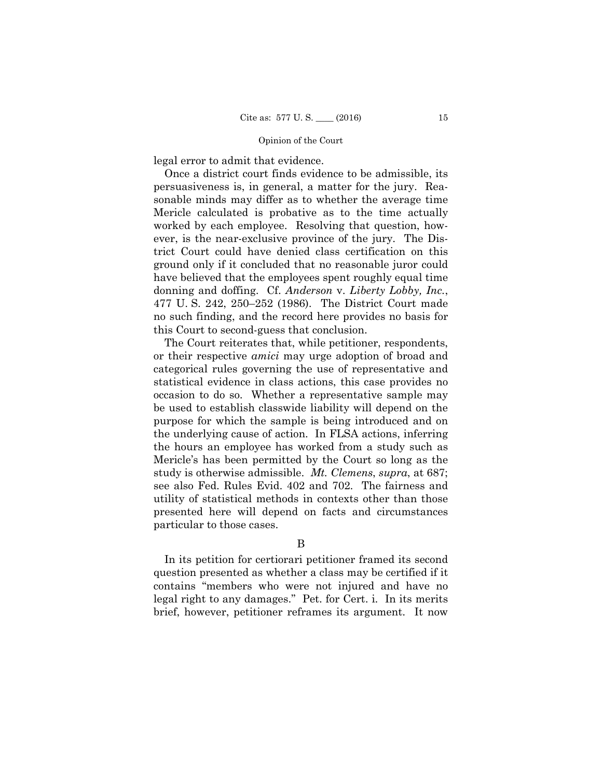legal error to admit that evidence.

Once a district court finds evidence to be admissible, its persuasiveness is, in general, a matter for the jury. Reasonable minds may differ as to whether the average time Mericle calculated is probative as to the time actually worked by each employee. Resolving that question, however, is the near-exclusive province of the jury. The District Court could have denied class certification on this ground only if it concluded that no reasonable juror could have believed that the employees spent roughly equal time donning and doffing. Cf. *Anderson* v. *Liberty Lobby, Inc.*, 477 U. S. 242, 250–252 (1986). The District Court made no such finding, and the record here provides no basis for this Court to second-guess that conclusion.

The Court reiterates that, while petitioner, respondents, or their respective *amici* may urge adoption of broad and categorical rules governing the use of representative and statistical evidence in class actions, this case provides no occasion to do so. Whether a representative sample may be used to establish classwide liability will depend on the purpose for which the sample is being introduced and on the underlying cause of action. In FLSA actions, inferring the hours an employee has worked from a study such as Mericle's has been permitted by the Court so long as the study is otherwise admissible. *Mt. Clemens*, *supra*, at 687; see also Fed. Rules Evid. 402 and 702. The fairness and utility of statistical methods in contexts other than those presented here will depend on facts and circumstances particular to those cases.

B

In its petition for certiorari petitioner framed its second question presented as whether a class may be certified if it contains "members who were not injured and have no legal right to any damages." Pet. for Cert. i. In its merits brief, however, petitioner reframes its argument. It now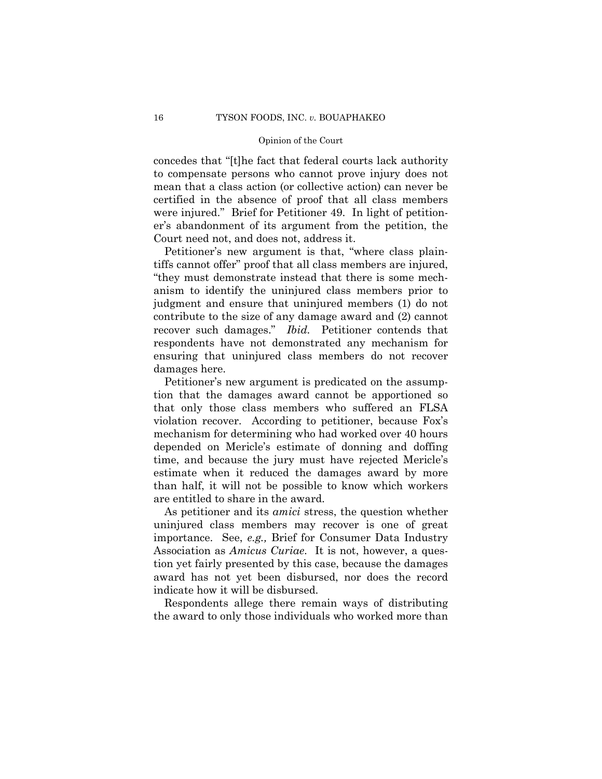concedes that "[t]he fact that federal courts lack authority to compensate persons who cannot prove injury does not mean that a class action (or collective action) can never be certified in the absence of proof that all class members were injured." Brief for Petitioner 49. In light of petitioner's abandonment of its argument from the petition, the Court need not, and does not, address it.

Petitioner's new argument is that, "where class plaintiffs cannot offer" proof that all class members are injured, "they must demonstrate instead that there is some mechanism to identify the uninjured class members prior to judgment and ensure that uninjured members (1) do not contribute to the size of any damage award and (2) cannot recover such damages." *Ibid.* Petitioner contends that respondents have not demonstrated any mechanism for ensuring that uninjured class members do not recover damages here.

Petitioner's new argument is predicated on the assumption that the damages award cannot be apportioned so that only those class members who suffered an FLSA violation recover. According to petitioner, because Fox's mechanism for determining who had worked over 40 hours depended on Mericle's estimate of donning and doffing time, and because the jury must have rejected Mericle's estimate when it reduced the damages award by more than half, it will not be possible to know which workers are entitled to share in the award.

As petitioner and its *amici* stress, the question whether uninjured class members may recover is one of great importance. See, *e.g.,* Brief for Consumer Data Industry Association as *Amicus Curiae*. It is not, however, a question yet fairly presented by this case, because the damages award has not yet been disbursed, nor does the record indicate how it will be disbursed.

Respondents allege there remain ways of distributing the award to only those individuals who worked more than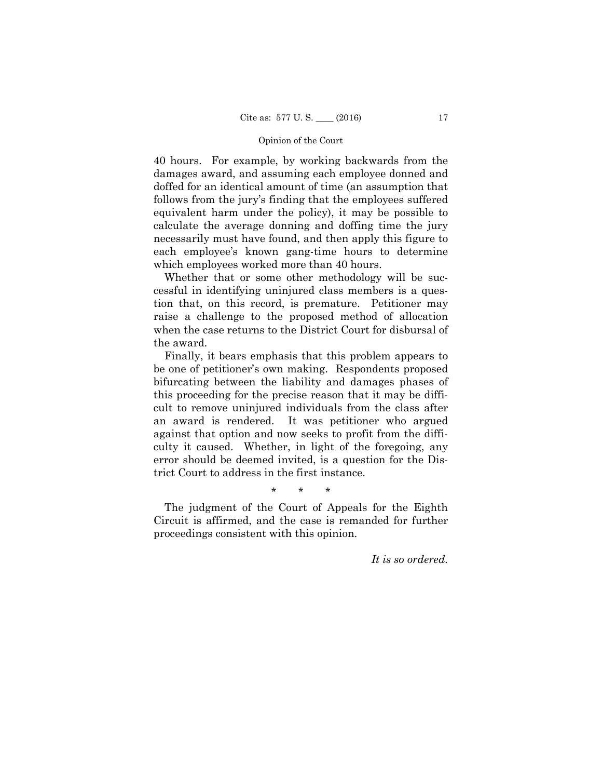40 hours. For example, by working backwards from the damages award, and assuming each employee donned and doffed for an identical amount of time (an assumption that follows from the jury's finding that the employees suffered equivalent harm under the policy), it may be possible to calculate the average donning and doffing time the jury necessarily must have found, and then apply this figure to each employee's known gang-time hours to determine which employees worked more than 40 hours.

Whether that or some other methodology will be successful in identifying uninjured class members is a question that, on this record, is premature. Petitioner may raise a challenge to the proposed method of allocation when the case returns to the District Court for disbursal of the award.

Finally, it bears emphasis that this problem appears to be one of petitioner's own making. Respondents proposed bifurcating between the liability and damages phases of this proceeding for the precise reason that it may be difficult to remove uninjured individuals from the class after an award is rendered. It was petitioner who argued against that option and now seeks to profit from the difficulty it caused. Whether, in light of the foregoing, any error should be deemed invited, is a question for the District Court to address in the first instance.

\* \* \*

The judgment of the Court of Appeals for the Eighth Circuit is affirmed, and the case is remanded for further proceedings consistent with this opinion.

*It is so ordered.*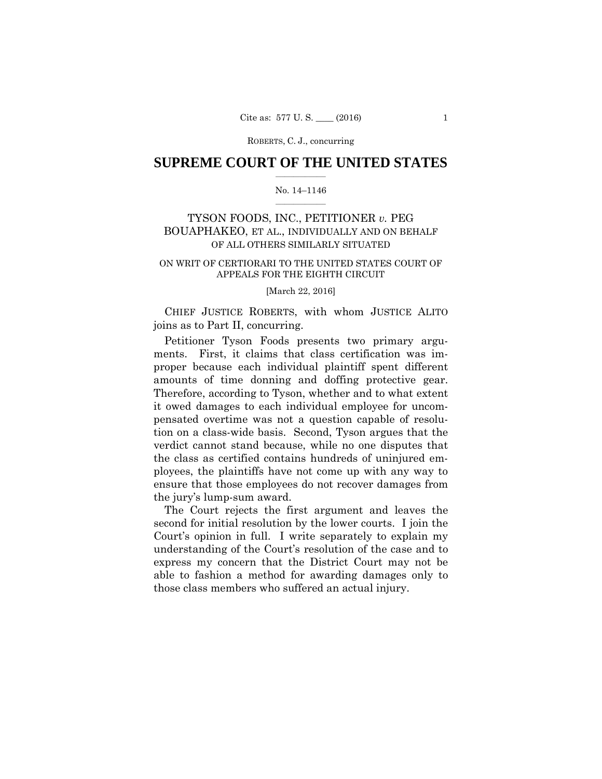### **SUPREME COURT OF THE UNITED STATES**  $\overline{\phantom{a}}$  , where  $\overline{\phantom{a}}$

### No. 14–1146  $\overline{\phantom{a}}$  , where  $\overline{\phantom{a}}$

## TYSON FOODS, INC., PETITIONER *v.* PEG BOUAPHAKEO, ET AL., INDIVIDUALLY AND ON BEHALF OF ALL OTHERS SIMILARLY SITUATED

### ON WRIT OF CERTIORARI TO THE UNITED STATES COURT OF APPEALS FOR THE EIGHTH CIRCUIT

### [March 22, 2016]

 CHIEF JUSTICE ROBERTS, with whom JUSTICE ALITO joins as to Part II, concurring.

 Petitioner Tyson Foods presents two primary arguments. First, it claims that class certification was improper because each individual plaintiff spent different amounts of time donning and doffing protective gear. Therefore, according to Tyson, whether and to what extent it owed damages to each individual employee for uncompensated overtime was not a question capable of resolution on a class-wide basis. Second, Tyson argues that the verdict cannot stand because, while no one disputes that the class as certified contains hundreds of uninjured employees, the plaintiffs have not come up with any way to ensure that those employees do not recover damages from the jury's lump-sum award.

The Court rejects the first argument and leaves the second for initial resolution by the lower courts. I join the Court's opinion in full. I write separately to explain my understanding of the Court's resolution of the case and to express my concern that the District Court may not be able to fashion a method for awarding damages only to those class members who suffered an actual injury.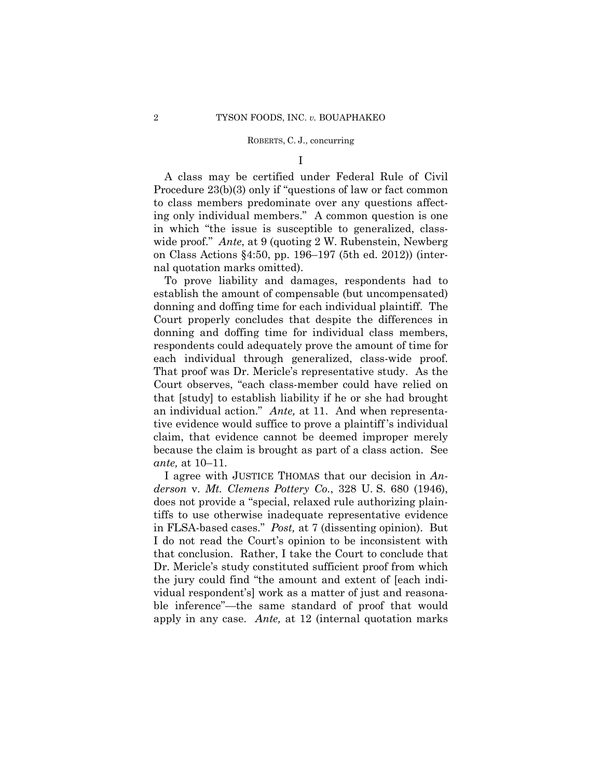I

A class may be certified under Federal Rule of Civil Procedure 23(b)(3) only if "questions of law or fact common to class members predominate over any questions affecting only individual members." A common question is one in which "the issue is susceptible to generalized, classwide proof." *Ante*, at 9 (quoting 2 W. Rubenstein, Newberg on Class Actions §4:50, pp. 196–197 (5th ed. 2012)) (internal quotation marks omitted).

To prove liability and damages, respondents had to establish the amount of compensable (but uncompensated) donning and doffing time for each individual plaintiff. The Court properly concludes that despite the differences in donning and doffing time for individual class members, respondents could adequately prove the amount of time for each individual through generalized, class-wide proof. That proof was Dr. Mericle's representative study. As the Court observes, "each class-member could have relied on that [study] to establish liability if he or she had brought an individual action." *Ante,* at 11. And when representative evidence would suffice to prove a plaintiff 's individual claim, that evidence cannot be deemed improper merely because the claim is brought as part of a class action. See *ante,* at 10–11.

 I agree with JUSTICE THOMAS that our decision in *Anderson* v. *Mt. Clemens Pottery Co.*, 328 U. S. 680 (1946), does not provide a "special, relaxed rule authorizing plaintiffs to use otherwise inadequate representative evidence in FLSA-based cases." *Post,* at 7 (dissenting opinion). But I do not read the Court's opinion to be inconsistent with that conclusion. Rather, I take the Court to conclude that Dr. Mericle's study constituted sufficient proof from which the jury could find "the amount and extent of [each individual respondent's] work as a matter of just and reasonable inference"—the same standard of proof that would apply in any case. *Ante,* at 12 (internal quotation marks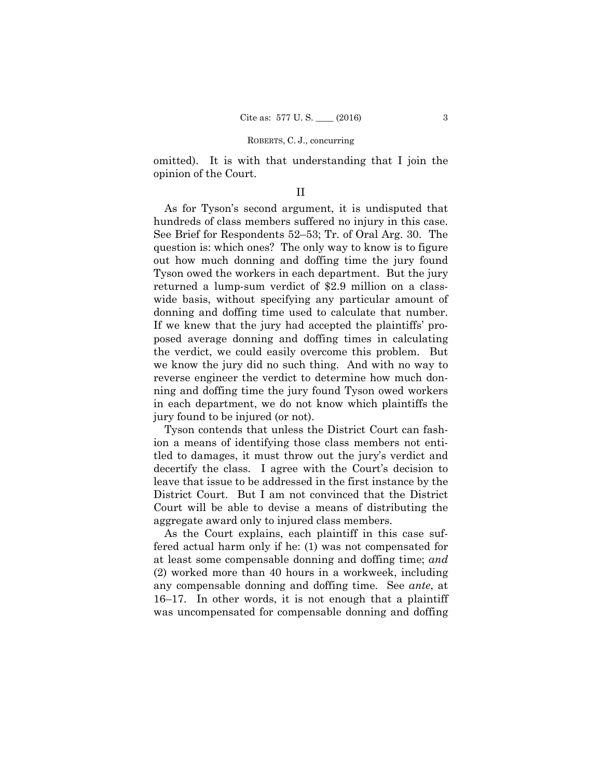omitted). It is with that understanding that I join the opinion of the Court.

### II

As for Tyson's second argument, it is undisputed that hundreds of class members suffered no injury in this case. See Brief for Respondents 52–53; Tr. of Oral Arg. 30. The question is: which ones? The only way to know is to figure out how much donning and doffing time the jury found Tyson owed the workers in each department. But the jury returned a lump-sum verdict of \$2.9 million on a classwide basis, without specifying any particular amount of donning and doffing time used to calculate that number. If we knew that the jury had accepted the plaintiffs' proposed average donning and doffing times in calculating the verdict, we could easily overcome this problem. But we know the jury did no such thing. And with no way to reverse engineer the verdict to determine how much donning and doffing time the jury found Tyson owed workers in each department, we do not know which plaintiffs the jury found to be injured (or not).

Tyson contends that unless the District Court can fashion a means of identifying those class members not entitled to damages, it must throw out the jury's verdict and decertify the class. I agree with the Court's decision to leave that issue to be addressed in the first instance by the District Court. But I am not convinced that the District Court will be able to devise a means of distributing the aggregate award only to injured class members.

As the Court explains, each plaintiff in this case suffered actual harm only if he: (1) was not compensated for at least some compensable donning and doffing time; *and* (2) worked more than 40 hours in a workweek, including any compensable donning and doffing time. See *ante*, at 16–17. In other words, it is not enough that a plaintiff was uncompensated for compensable donning and doffing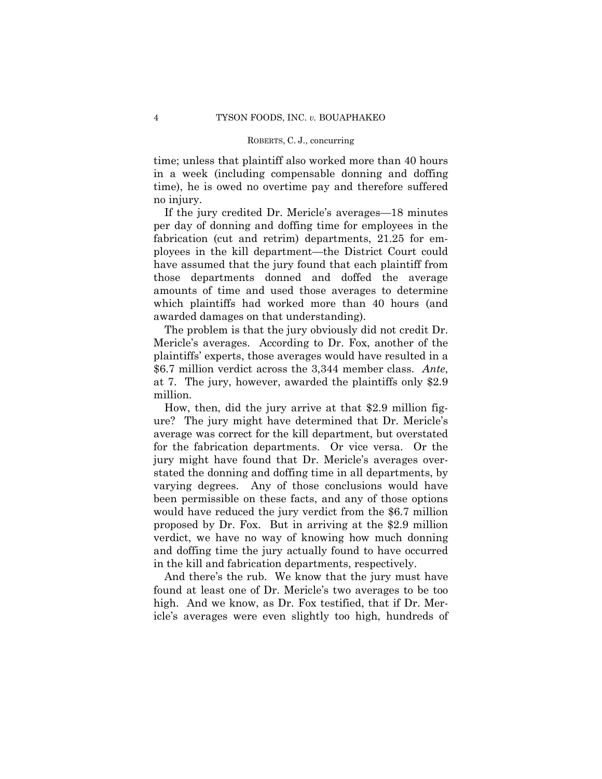time; unless that plaintiff also worked more than 40 hours in a week (including compensable donning and doffing time), he is owed no overtime pay and therefore suffered no injury.

If the jury credited Dr. Mericle's averages—18 minutes per day of donning and doffing time for employees in the fabrication (cut and retrim) departments, 21.25 for employees in the kill department—the District Court could have assumed that the jury found that each plaintiff from those departments donned and doffed the average amounts of time and used those averages to determine which plaintiffs had worked more than 40 hours (and awarded damages on that understanding).

The problem is that the jury obviously did not credit Dr. Mericle's averages. According to Dr. Fox, another of the plaintiffs' experts, those averages would have resulted in a \$6.7 million verdict across the 3,344 member class. *Ante*, at 7. The jury, however, awarded the plaintiffs only \$2.9 million.

 How, then, did the jury arrive at that \$2.9 million figure? The jury might have determined that Dr. Mericle's average was correct for the kill department, but overstated for the fabrication departments. Or vice versa. Or the jury might have found that Dr. Mericle's averages overstated the donning and doffing time in all departments, by varying degrees. Any of those conclusions would have been permissible on these facts, and any of those options would have reduced the jury verdict from the \$6.7 million proposed by Dr. Fox. But in arriving at the \$2.9 million verdict, we have no way of knowing how much donning and doffing time the jury actually found to have occurred in the kill and fabrication departments, respectively.

And there's the rub. We know that the jury must have found at least one of Dr. Mericle's two averages to be too high. And we know, as Dr. Fox testified, that if Dr. Mericle's averages were even slightly too high, hundreds of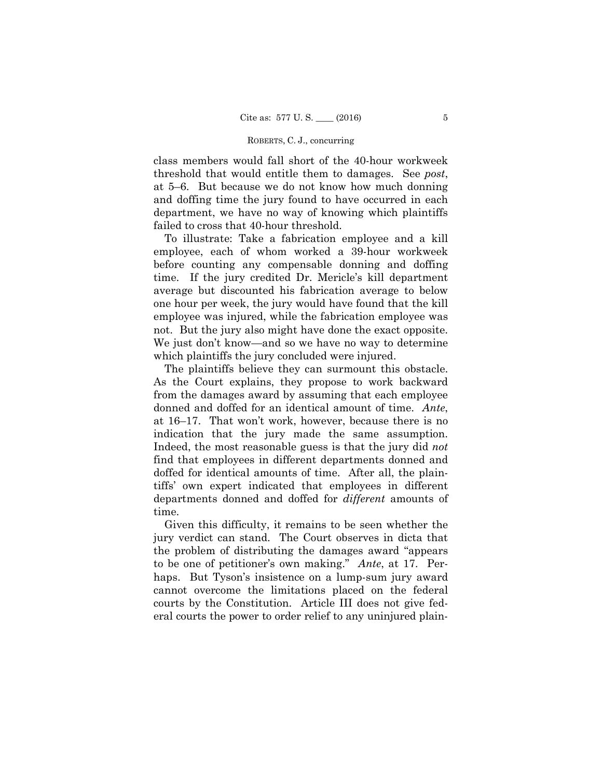class members would fall short of the 40-hour workweek threshold that would entitle them to damages. See *post*, at 5–6. But because we do not know how much donning and doffing time the jury found to have occurred in each department, we have no way of knowing which plaintiffs failed to cross that 40-hour threshold.

To illustrate: Take a fabrication employee and a kill employee, each of whom worked a 39-hour workweek before counting any compensable donning and doffing time. If the jury credited Dr. Mericle's kill department average but discounted his fabrication average to below one hour per week, the jury would have found that the kill employee was injured, while the fabrication employee was not. But the jury also might have done the exact opposite. We just don't know—and so we have no way to determine which plaintiffs the jury concluded were injured.

The plaintiffs believe they can surmount this obstacle. As the Court explains, they propose to work backward from the damages award by assuming that each employee donned and doffed for an identical amount of time. *Ante*, at 16–17. That won't work, however, because there is no indication that the jury made the same assumption. Indeed, the most reasonable guess is that the jury did *not* find that employees in different departments donned and doffed for identical amounts of time. After all, the plaintiffs' own expert indicated that employees in different departments donned and doffed for *different* amounts of time.

Given this difficulty, it remains to be seen whether the jury verdict can stand. The Court observes in dicta that the problem of distributing the damages award "appears to be one of petitioner's own making." *Ante*, at 17. Perhaps. But Tyson's insistence on a lump-sum jury award cannot overcome the limitations placed on the federal courts by the Constitution. Article III does not give federal courts the power to order relief to any uninjured plain-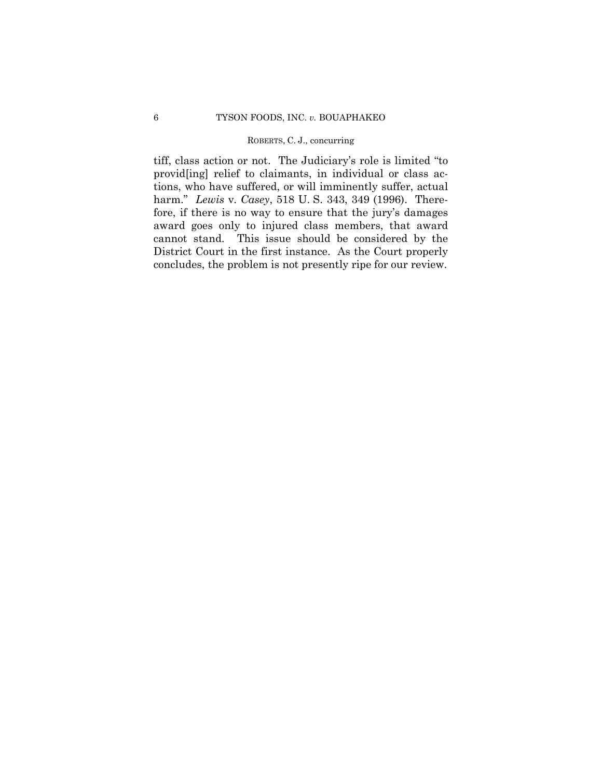tiff, class action or not. The Judiciary's role is limited "to provid[ing] relief to claimants, in individual or class actions, who have suffered, or will imminently suffer, actual harm." *Lewis* v. *Casey*, 518 U. S. 343, 349 (1996). Therefore, if there is no way to ensure that the jury's damages award goes only to injured class members, that award cannot stand. This issue should be considered by the District Court in the first instance. As the Court properly concludes, the problem is not presently ripe for our review.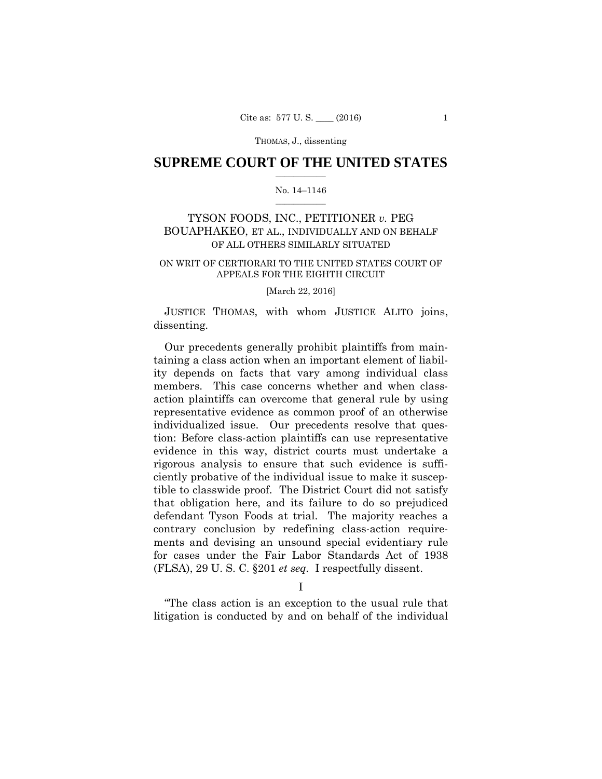### **SUPREME COURT OF THE UNITED STATES**  $\overline{\phantom{a}}$  , where  $\overline{\phantom{a}}$

### No. 14–1146  $\overline{\phantom{a}}$  , where  $\overline{\phantom{a}}$

## TYSON FOODS, INC., PETITIONER *v.* PEG BOUAPHAKEO, ET AL., INDIVIDUALLY AND ON BEHALF OF ALL OTHERS SIMILARLY SITUATED

### ON WRIT OF CERTIORARI TO THE UNITED STATES COURT OF APPEALS FOR THE EIGHTH CIRCUIT

[March 22, 2016]

 JUSTICE THOMAS, with whom JUSTICE ALITO joins, dissenting.

Our precedents generally prohibit plaintiffs from maintaining a class action when an important element of liability depends on facts that vary among individual class members. This case concerns whether and when classaction plaintiffs can overcome that general rule by using representative evidence as common proof of an otherwise individualized issue. Our precedents resolve that question: Before class-action plaintiffs can use representative evidence in this way, district courts must undertake a rigorous analysis to ensure that such evidence is sufficiently probative of the individual issue to make it susceptible to classwide proof. The District Court did not satisfy that obligation here, and its failure to do so prejudiced defendant Tyson Foods at trial. The majority reaches a contrary conclusion by redefining class-action requirements and devising an unsound special evidentiary rule for cases under the Fair Labor Standards Act of 1938 (FLSA), 29 U. S. C. §201 *et seq.* I respectfully dissent.

I

"The class action is an exception to the usual rule that litigation is conducted by and on behalf of the individual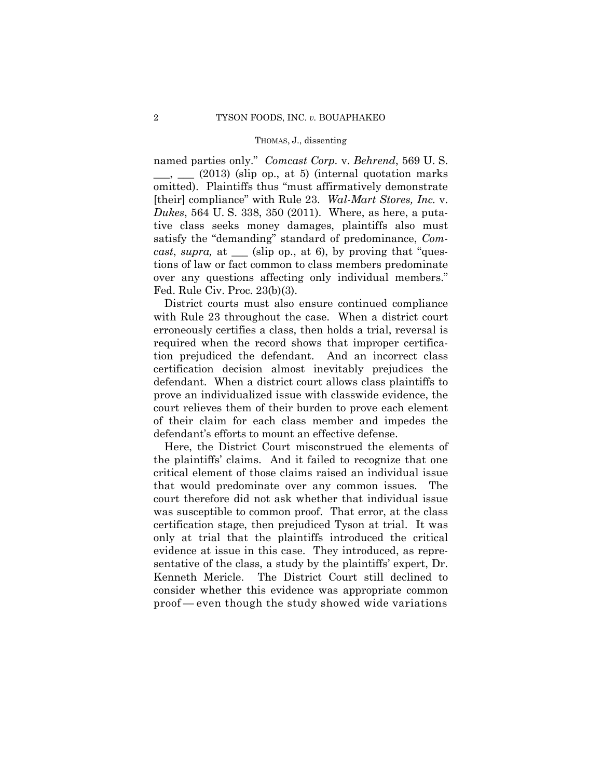named parties only." *Comcast Corp.* v. *Behrend*, 569 U. S.  $\Box$ ,  $\Box$  (2013) (slip op., at 5) (internal quotation marks omitted). Plaintiffs thus "must affirmatively demonstrate [their] compliance" with Rule 23. *Wal-Mart Stores, Inc.* v. *Dukes*, 564 U. S. 338, 350 (2011). Where, as here, a putative class seeks money damages, plaintiffs also must satisfy the "demanding" standard of predominance, *Comcast*, *supra,* at \_\_\_ (slip op., at 6), by proving that "questions of law or fact common to class members predominate over any questions affecting only individual members." Fed. Rule Civ. Proc. 23(b)(3).

District courts must also ensure continued compliance with Rule 23 throughout the case. When a district court erroneously certifies a class, then holds a trial, reversal is required when the record shows that improper certification prejudiced the defendant. And an incorrect class certification decision almost inevitably prejudices the defendant. When a district court allows class plaintiffs to prove an individualized issue with classwide evidence, the court relieves them of their burden to prove each element of their claim for each class member and impedes the defendant's efforts to mount an effective defense.

Here, the District Court misconstrued the elements of the plaintiffs' claims. And it failed to recognize that one critical element of those claims raised an individual issue that would predominate over any common issues. The court therefore did not ask whether that individual issue was susceptible to common proof. That error, at the class certification stage, then prejudiced Tyson at trial. It was only at trial that the plaintiffs introduced the critical evidence at issue in this case. They introduced, as representative of the class, a study by the plaintiffs' expert, Dr. Kenneth Mericle. The District Court still declined to consider whether this evidence was appropriate common proof — even though the study showed wide variations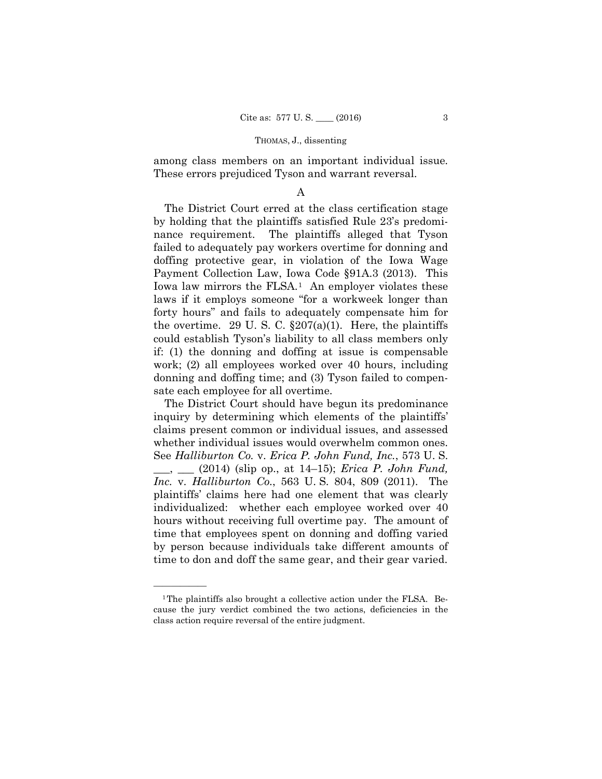among class members on an important individual issue. These errors prejudiced Tyson and warrant reversal.

### A

The District Court erred at the class certification stage by holding that the plaintiffs satisfied Rule 23's predominance requirement. The plaintiffs alleged that Tyson failed to adequately pay workers overtime for donning and doffing protective gear, in violation of the Iowa Wage Payment Collection Law, Iowa Code §91A.3 (2013). This Iowa law mirrors the FLSA.<sup>[1](#page-28-0)</sup> An employer violates these laws if it employs someone "for a workweek longer than forty hours" and fails to adequately compensate him for the overtime. 29 U.S.C.  $\S 207(a)(1)$ . Here, the plaintiffs could establish Tyson's liability to all class members only if: (1) the donning and doffing at issue is compensable work; (2) all employees worked over 40 hours, including donning and doffing time; and (3) Tyson failed to compensate each employee for all overtime.

The District Court should have begun its predominance inquiry by determining which elements of the plaintiffs' claims present common or individual issues, and assessed whether individual issues would overwhelm common ones. See *Halliburton Co.* v. *Erica P. John Fund, Inc.*, 573 U. S. \_\_\_, \_\_\_ (2014) (slip op., at 14–15); *Erica P. John Fund, Inc.* v. *Halliburton Co.*, 563 U. S. 804, 809 (2011). The plaintiffs' claims here had one element that was clearly individualized: whether each employee worked over 40 hours without receiving full overtime pay. The amount of time that employees spent on donning and doffing varied by person because individuals take different amounts of time to don and doff the same gear, and their gear varied.

——————

<span id="page-28-0"></span><sup>&</sup>lt;sup>1</sup>The plaintiffs also brought a collective action under the FLSA. Because the jury verdict combined the two actions, deficiencies in the class action require reversal of the entire judgment.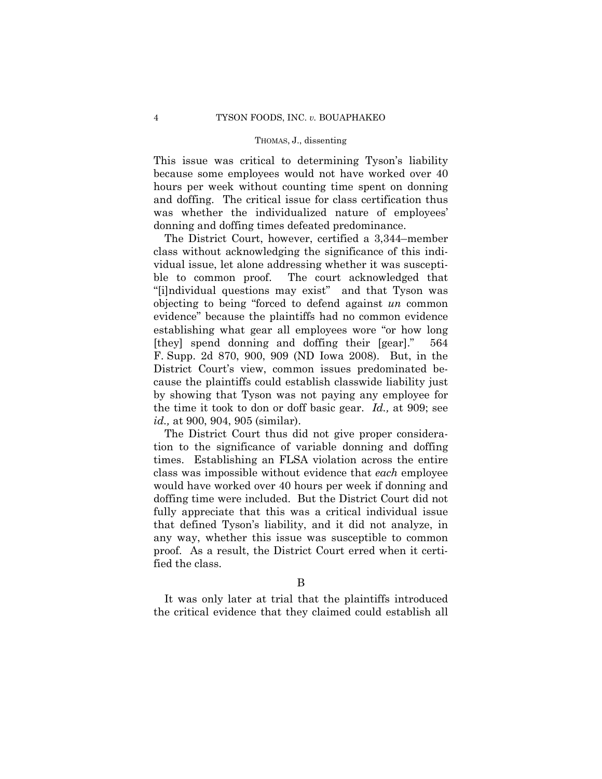This issue was critical to determining Tyson's liability because some employees would not have worked over 40 hours per week without counting time spent on donning and doffing. The critical issue for class certification thus was whether the individualized nature of employees' donning and doffing times defeated predominance.

The District Court, however, certified a 3,344–member class without acknowledging the significance of this individual issue, let alone addressing whether it was susceptible to common proof. The court acknowledged that "[i]ndividual questions may exist" and that Tyson was objecting to being "forced to defend against *un* common evidence" because the plaintiffs had no common evidence establishing what gear all employees wore "or how long [they] spend donning and doffing their [gear]." 564 F. Supp. 2d 870, 900, 909 (ND Iowa 2008). But, in the District Court's view, common issues predominated because the plaintiffs could establish classwide liability just by showing that Tyson was not paying any employee for the time it took to don or doff basic gear. *Id.,* at 909; see *id.,* at 900, 904, 905 (similar).

The District Court thus did not give proper consideration to the significance of variable donning and doffing times. Establishing an FLSA violation across the entire class was impossible without evidence that *each* employee would have worked over 40 hours per week if donning and doffing time were included. But the District Court did not fully appreciate that this was a critical individual issue that defined Tyson's liability, and it did not analyze, in any way, whether this issue was susceptible to common proof. As a result, the District Court erred when it certified the class.

It was only later at trial that the plaintiffs introduced the critical evidence that they claimed could establish all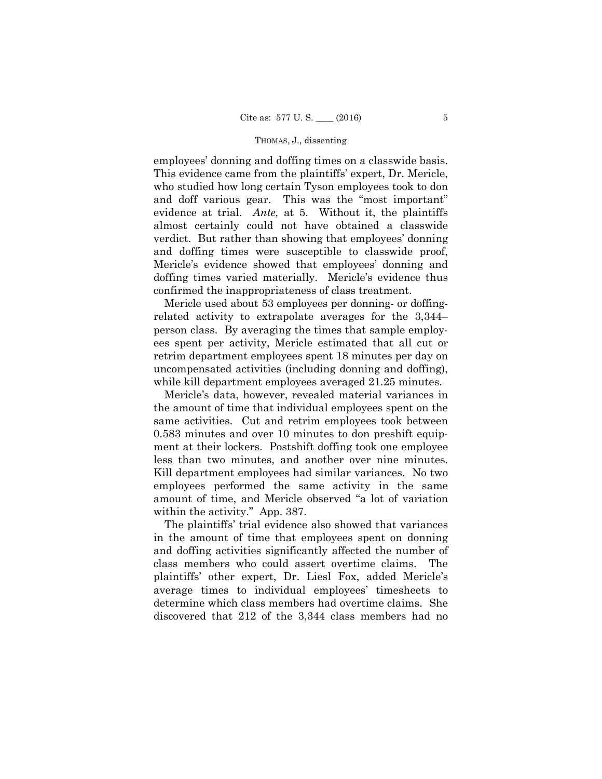employees' donning and doffing times on a classwide basis. This evidence came from the plaintiffs' expert, Dr. Mericle, who studied how long certain Tyson employees took to don and doff various gear. This was the "most important" evidence at trial. *Ante,* at 5. Without it, the plaintiffs almost certainly could not have obtained a classwide verdict. But rather than showing that employees' donning and doffing times were susceptible to classwide proof, Mericle's evidence showed that employees' donning and doffing times varied materially. Mericle's evidence thus confirmed the inappropriateness of class treatment.

Mericle used about 53 employees per donning- or doffingrelated activity to extrapolate averages for the 3,344– person class. By averaging the times that sample employees spent per activity, Mericle estimated that all cut or retrim department employees spent 18 minutes per day on uncompensated activities (including donning and doffing), while kill department employees averaged 21.25 minutes.

Mericle's data, however, revealed material variances in the amount of time that individual employees spent on the same activities. Cut and retrim employees took between 0.583 minutes and over 10 minutes to don preshift equipment at their lockers. Postshift doffing took one employee less than two minutes, and another over nine minutes. Kill department employees had similar variances. No two employees performed the same activity in the same amount of time, and Mericle observed "a lot of variation within the activity." App. 387.

The plaintiffs' trial evidence also showed that variances in the amount of time that employees spent on donning and doffing activities significantly affected the number of class members who could assert overtime claims. The plaintiffs' other expert, Dr. Liesl Fox, added Mericle's average times to individual employees' timesheets to determine which class members had overtime claims. She discovered that 212 of the 3,344 class members had no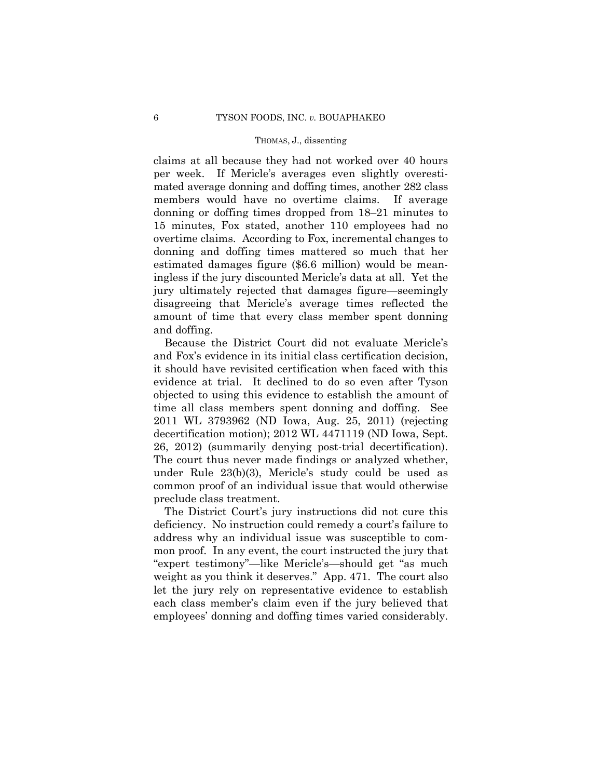claims at all because they had not worked over 40 hours per week. If Mericle's averages even slightly overestimated average donning and doffing times, another 282 class members would have no overtime claims. If average donning or doffing times dropped from 18–21 minutes to 15 minutes, Fox stated, another 110 employees had no overtime claims. According to Fox, incremental changes to donning and doffing times mattered so much that her estimated damages figure (\$6.6 million) would be meaningless if the jury discounted Mericle's data at all. Yet the jury ultimately rejected that damages figure—seemingly disagreeing that Mericle's average times reflected the amount of time that every class member spent donning and doffing.

Because the District Court did not evaluate Mericle's and Fox's evidence in its initial class certification decision, it should have revisited certification when faced with this evidence at trial. It declined to do so even after Tyson objected to using this evidence to establish the amount of time all class members spent donning and doffing. See 2011 WL 3793962 (ND Iowa, Aug. 25, 2011) (rejecting decertification motion); 2012 WL 4471119 (ND Iowa, Sept. 26, 2012) (summarily denying post-trial decertification). The court thus never made findings or analyzed whether, under Rule 23(b)(3), Mericle's study could be used as common proof of an individual issue that would otherwise preclude class treatment.

The District Court's jury instructions did not cure this deficiency. No instruction could remedy a court's failure to address why an individual issue was susceptible to common proof. In any event, the court instructed the jury that "expert testimony"—like Mericle's—should get "as much weight as you think it deserves." App. 471. The court also let the jury rely on representative evidence to establish each class member's claim even if the jury believed that employees' donning and doffing times varied considerably.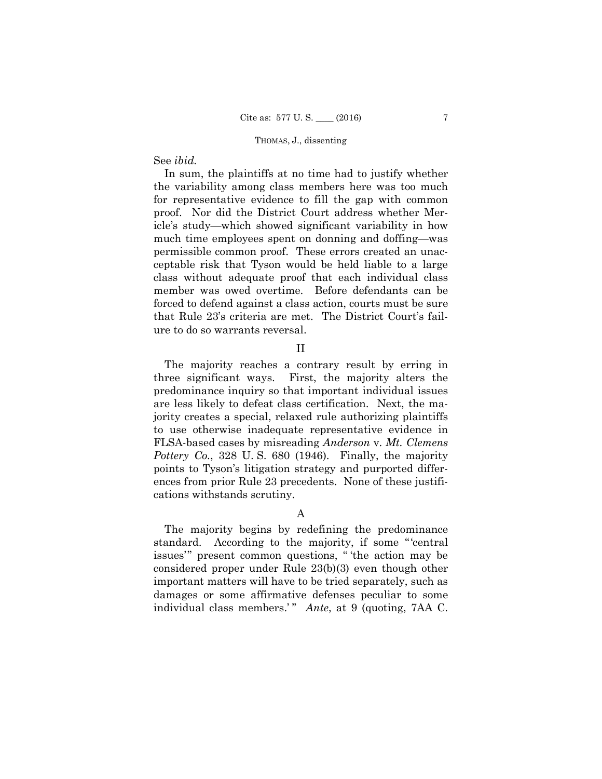## See *ibid.*

In sum, the plaintiffs at no time had to justify whether the variability among class members here was too much for representative evidence to fill the gap with common proof. Nor did the District Court address whether Mericle's study—which showed significant variability in how much time employees spent on donning and doffing—was permissible common proof. These errors created an unacceptable risk that Tyson would be held liable to a large class without adequate proof that each individual class member was owed overtime. Before defendants can be forced to defend against a class action, courts must be sure that Rule 23's criteria are met. The District Court's failure to do so warrants reversal.

### II

The majority reaches a contrary result by erring in three significant ways. First, the majority alters the predominance inquiry so that important individual issues are less likely to defeat class certification. Next, the majority creates a special, relaxed rule authorizing plaintiffs to use otherwise inadequate representative evidence in FLSA-based cases by misreading *Anderson* v. *Mt. Clemens Pottery Co.*, 328 U. S. 680 (1946). Finally, the majority points to Tyson's litigation strategy and purported differences from prior Rule 23 precedents. None of these justifications withstands scrutiny.

A

The majority begins by redefining the predominance standard. According to the majority, if some "'central issues'" present common questions, " 'the action may be considered proper under Rule 23(b)(3) even though other important matters will have to be tried separately, such as damages or some affirmative defenses peculiar to some individual class members.'" Ante, at 9 (quoting, 7AA C.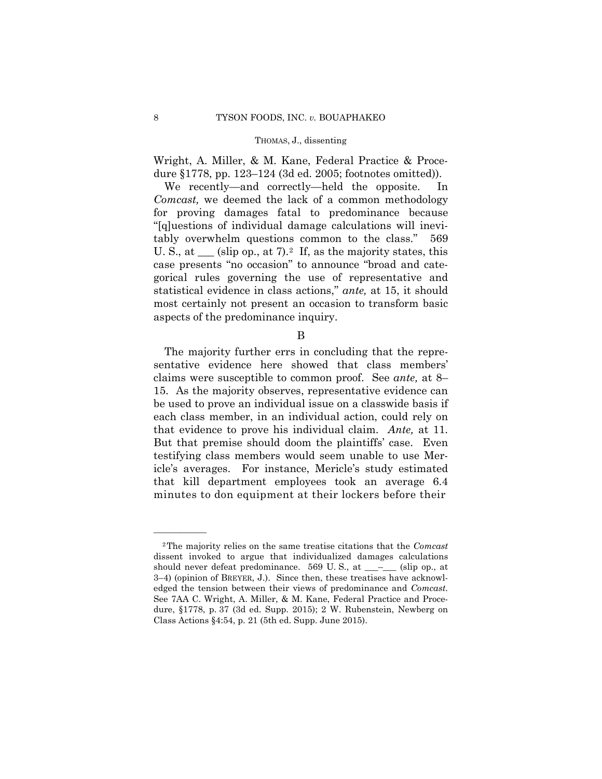Wright, A. Miller, & M. Kane, Federal Practice & Procedure §1778, pp. 123–124 (3d ed. 2005; footnotes omitted)).

We recently—and correctly—held the opposite. In *Comcast,* we deemed the lack of a common methodology for proving damages fatal to predominance because "[q]uestions of individual damage calculations will inevitably overwhelm questions common to the class." 569 U. S., at  $\equiv$  (slip op., at 7).<sup>[2](#page-33-0)</sup> If, as the majority states, this case presents "no occasion" to announce "broad and categorical rules governing the use of representative and statistical evidence in class actions," *ante,* at 15, it should most certainly not present an occasion to transform basic aspects of the predominance inquiry.

B

The majority further errs in concluding that the representative evidence here showed that class members' claims were susceptible to common proof. See *ante,* at 8– 15. As the majority observes, representative evidence can be used to prove an individual issue on a classwide basis if each class member, in an individual action, could rely on that evidence to prove his individual claim. *Ante,* at 11. But that premise should doom the plaintiffs' case. Even testifying class members would seem unable to use Mericle's averages. For instance, Mericle's study estimated that kill department employees took an average 6.4 minutes to don equipment at their lockers before their

——————

<span id="page-33-0"></span><sup>2</sup>The majority relies on the same treatise citations that the *Comcast*  dissent invoked to argue that individualized damages calculations should never defeat predominance. 569 U.S., at  $\_\_\_\_\_\_$  (slip op., at 3–4) (opinion of BREYER, J.). Since then, these treatises have acknowledged the tension between their views of predominance and *Comcast*. See 7AA C. Wright, A. Miller, & M. Kane, Federal Practice and Procedure, §1778, p. 37 (3d ed. Supp. 2015); 2 W. Rubenstein, Newberg on Class Actions §4:54, p. 21 (5th ed. Supp. June 2015).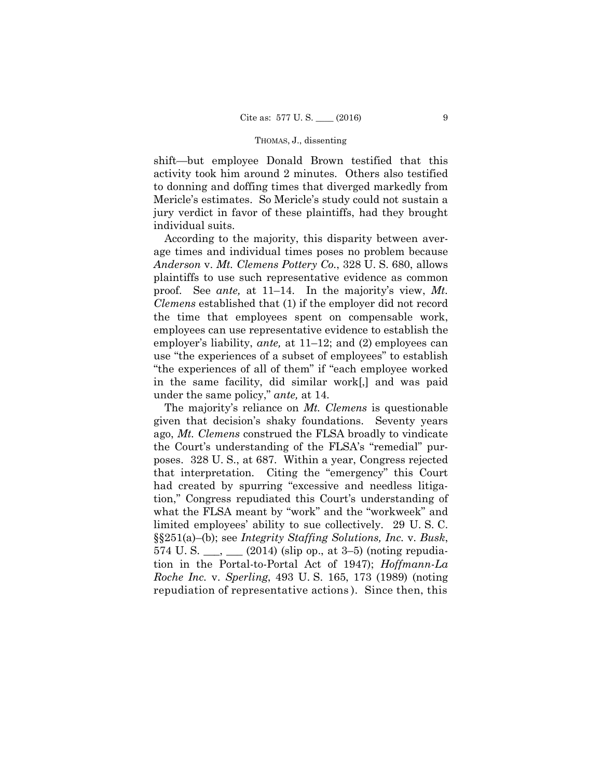shift—but employee Donald Brown testified that this activity took him around 2 minutes. Others also testified to donning and doffing times that diverged markedly from Mericle's estimates. So Mericle's study could not sustain a jury verdict in favor of these plaintiffs, had they brought individual suits.

According to the majority, this disparity between average times and individual times poses no problem because *Anderson* v. *Mt. Clemens Pottery Co.*, 328 U. S. 680, allows plaintiffs to use such representative evidence as common proof. See *ante,* at 11–14. In the majority's view, *Mt. Clemens* established that (1) if the employer did not record the time that employees spent on compensable work, employees can use representative evidence to establish the employer's liability, *ante,* at 11–12; and (2) employees can use "the experiences of a subset of employees" to establish "the experiences of all of them" if "each employee worked in the same facility, did similar work[,] and was paid under the same policy," *ante,* at 14.

The majority's reliance on *Mt. Clemens* is questionable given that decision's shaky foundations. Seventy years ago, *Mt. Clemens* construed the FLSA broadly to vindicate the Court's understanding of the FLSA's "remedial" purposes. 328 U. S., at 687. Within a year, Congress rejected that interpretation. Citing the "emergency" this Court had created by spurring "excessive and needless litigation," Congress repudiated this Court's understanding of what the FLSA meant by "work" and the "workweek" and limited employees' ability to sue collectively. 29 U. S. C. §§251(a)–(b); see *Integrity Staffing Solutions, Inc.* v. *Busk*, 574 U.S.  $\frac{1}{2}$ ,  $\frac{1}{2}$  (2014) (slip op., at 3–5) (noting repudiation in the Portal-to-Portal Act of 1947); *Hoffmann-La Roche Inc.* v. *Sperling*, 493 U. S. 165, 173 (1989) (noting repudiation of representative actions ). Since then, this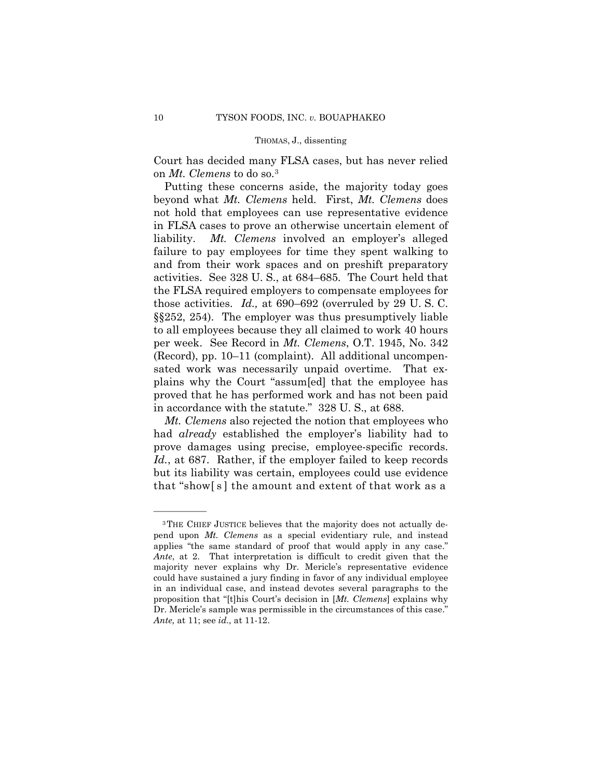Court has decided many FLSA cases, but has never relied on *Mt. Clemens* to do so[.3](#page-35-0)

Putting these concerns aside, the majority today goes beyond what *Mt. Clemens* held. First, *Mt. Clemens* does not hold that employees can use representative evidence in FLSA cases to prove an otherwise uncertain element of liability. *Mt. Clemens* involved an employer's alleged failure to pay employees for time they spent walking to and from their work spaces and on preshift preparatory activities. See 328 U. S., at 684–685. The Court held that the FLSA required employers to compensate employees for those activities. *Id.,* at 690–692 (overruled by 29 U. S. C. §§252, 254). The employer was thus presumptively liable to all employees because they all claimed to work 40 hours per week. See Record in *Mt. Clemens*, O.T. 1945, No. 342 (Record), pp. 10–11 (complaint). All additional uncompensated work was necessarily unpaid overtime. That explains why the Court "assum[ed] that the employee has proved that he has performed work and has not been paid in accordance with the statute." 328 U. S., at 688.

*Mt. Clemens* also rejected the notion that employees who had *already* established the employer's liability had to prove damages using precise, employee-specific records. Id., at 687. Rather, if the employer failed to keep records but its liability was certain, employees could use evidence that "show[ s ] the amount and extent of that work as a

——————

<span id="page-35-0"></span><sup>3</sup>THE CHIEF JUSTICE believes that the majority does not actually depend upon *Mt. Clemens* as a special evidentiary rule, and instead applies "the same standard of proof that would apply in any case." *Ante*, at 2. That interpretation is difficult to credit given that the majority never explains why Dr. Mericle's representative evidence could have sustained a jury finding in favor of any individual employee in an individual case, and instead devotes several paragraphs to the proposition that "[t]his Court's decision in [*Mt. Clemens*] explains why Dr. Mericle's sample was permissible in the circumstances of this case." *Ante,* at 11; see *id.,* at 11-12.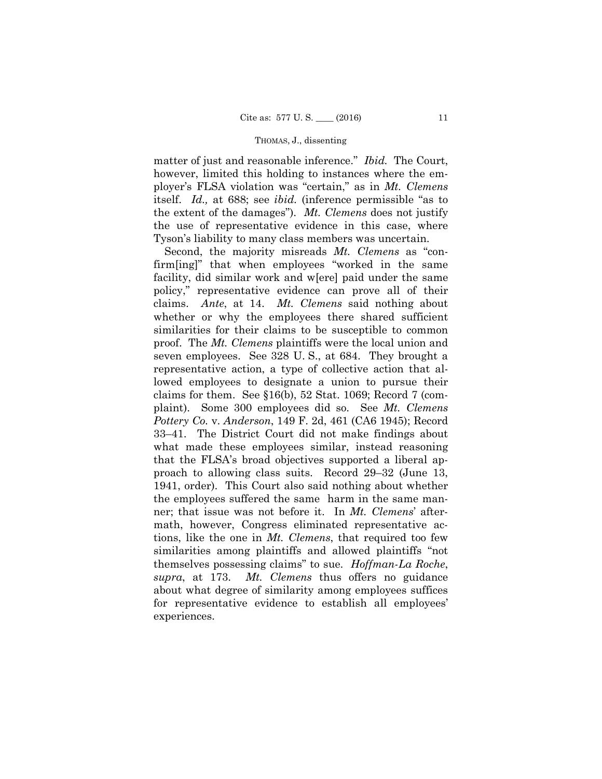matter of just and reasonable inference." *Ibid.* The Court, however, limited this holding to instances where the employer's FLSA violation was "certain," as in *Mt. Clemens*  itself. *Id.,* at 688; see *ibid.* (inference permissible "as to the extent of the damages"). *Mt. Clemens* does not justify the use of representative evidence in this case, where Tyson's liability to many class members was uncertain.

Second, the majority misreads *Mt. Clemens* as "confirm[ing]" that when employees "worked in the same facility, did similar work and w[ere] paid under the same policy," representative evidence can prove all of their claims. *Ante*, at 14. *Mt. Clemens* said nothing about whether or why the employees there shared sufficient similarities for their claims to be susceptible to common proof. The *Mt. Clemens* plaintiffs were the local union and seven employees. See 328 U. S., at 684. They brought a representative action, a type of collective action that allowed employees to designate a union to pursue their claims for them. See §16(b), 52 Stat. 1069; Record 7 (complaint). Some 300 employees did so. See *Mt. Clemens Pottery Co.* v. *Anderson*, 149 F. 2d, 461 (CA6 1945); Record 33–41. The District Court did not make findings about what made these employees similar, instead reasoning that the FLSA's broad objectives supported a liberal approach to allowing class suits. Record 29–32 (June 13, 1941, order). This Court also said nothing about whether the employees suffered the same harm in the same manner; that issue was not before it. In *Mt. Clemens*' aftermath, however, Congress eliminated representative actions, like the one in *Mt. Clemens*, that required too few similarities among plaintiffs and allowed plaintiffs "not themselves possessing claims" to sue. *Hoffman-La Roche*, *supra*, at 173. *Mt. Clemens* thus offers no guidance about what degree of similarity among employees suffices for representative evidence to establish all employees' experiences.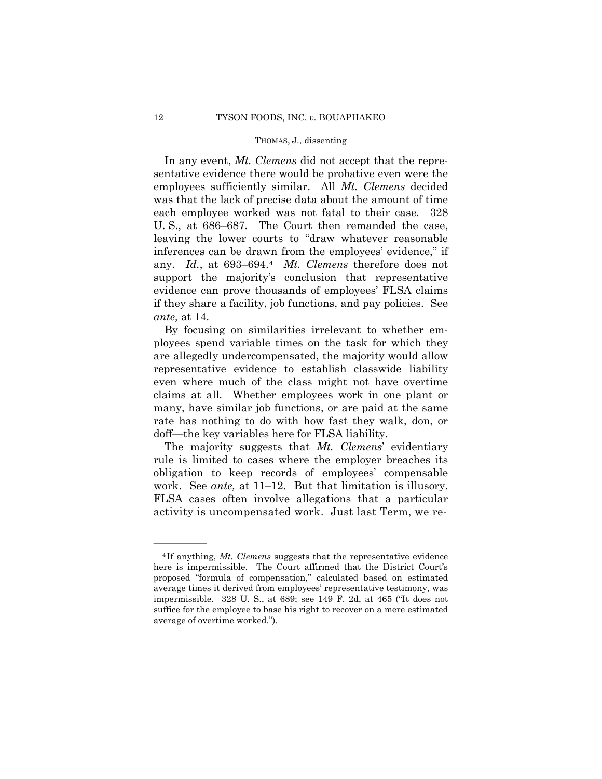In any event, *Mt. Clemens* did not accept that the representative evidence there would be probative even were the employees sufficiently similar. All *Mt. Clemens* decided was that the lack of precise data about the amount of time each employee worked was not fatal to their case. 328 U. S., at 686–687. The Court then remanded the case, leaving the lower courts to "draw whatever reasonable inferences can be drawn from the employees' evidence," if any. *Id.*, at 693–694.[4](#page-37-0) *Mt. Clemens* therefore does not support the majority's conclusion that representative evidence can prove thousands of employees' FLSA claims if they share a facility, job functions, and pay policies. See *ante,* at 14.

By focusing on similarities irrelevant to whether employees spend variable times on the task for which they are allegedly undercompensated, the majority would allow representative evidence to establish classwide liability even where much of the class might not have overtime claims at all. Whether employees work in one plant or many, have similar job functions, or are paid at the same rate has nothing to do with how fast they walk, don, or doff—the key variables here for FLSA liability.

The majority suggests that *Mt. Clemens*' evidentiary rule is limited to cases where the employer breaches its obligation to keep records of employees' compensable work. See *ante,* at 11–12. But that limitation is illusory. FLSA cases often involve allegations that a particular activity is uncompensated work. Just last Term, we re-

——————

<span id="page-37-0"></span><sup>4</sup> If anything, *Mt. Clemens* suggests that the representative evidence here is impermissible. The Court affirmed that the District Court's proposed "formula of compensation," calculated based on estimated average times it derived from employees' representative testimony, was impermissible. 328 U. S., at 689; see 149 F. 2d, at 465 ("It does not suffice for the employee to base his right to recover on a mere estimated average of overtime worked.").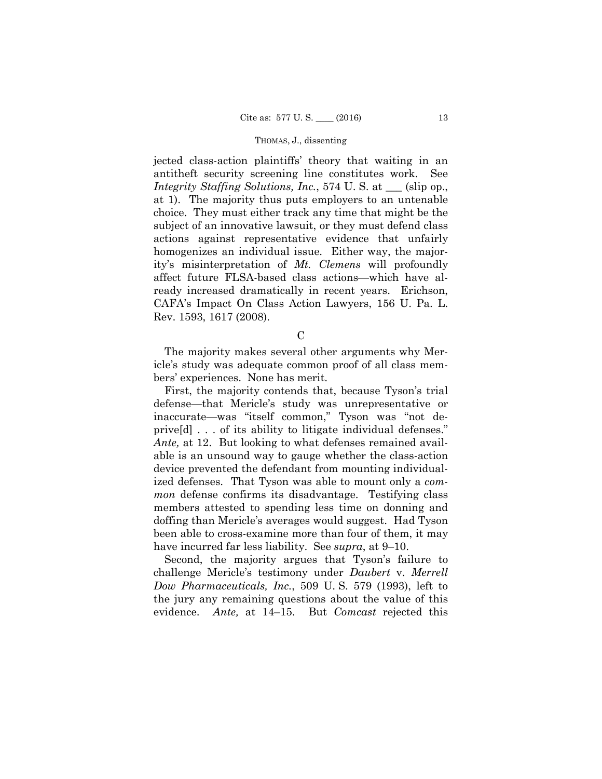jected class-action plaintiffs' theory that waiting in an antitheft security screening line constitutes work. See *Integrity Staffing Solutions, Inc.*, 574 U. S. at  $\_\_$  (slip op., at 1). The majority thus puts employers to an untenable choice. They must either track any time that might be the subject of an innovative lawsuit, or they must defend class actions against representative evidence that unfairly homogenizes an individual issue. Either way, the majority's misinterpretation of *Mt. Clemens* will profoundly affect future FLSA-based class actions—which have already increased dramatically in recent years. Erichson, CAFA's Impact On Class Action Lawyers, 156 U. Pa. L. Rev. 1593, 1617 (2008).

 $\mathcal{C}$ 

The majority makes several other arguments why Mericle's study was adequate common proof of all class members' experiences. None has merit.

First, the majority contends that, because Tyson's trial defense—that Mericle's study was unrepresentative or inaccurate—was "itself common," Tyson was "not deprive[d] . . . of its ability to litigate individual defenses." *Ante,* at 12. But looking to what defenses remained available is an unsound way to gauge whether the class-action device prevented the defendant from mounting individualized defenses. That Tyson was able to mount only a *common* defense confirms its disadvantage. Testifying class members attested to spending less time on donning and doffing than Mericle's averages would suggest. Had Tyson been able to cross-examine more than four of them, it may have incurred far less liability. See *supra*, at 9–10.

Second, the majority argues that Tyson's failure to challenge Mericle's testimony under *Daubert* v. *Merrell Dow Pharmaceuticals, Inc.*, 509 U. S. 579 (1993), left to the jury any remaining questions about the value of this evidence. *Ante,* at 14–15. But *Comcast* rejected this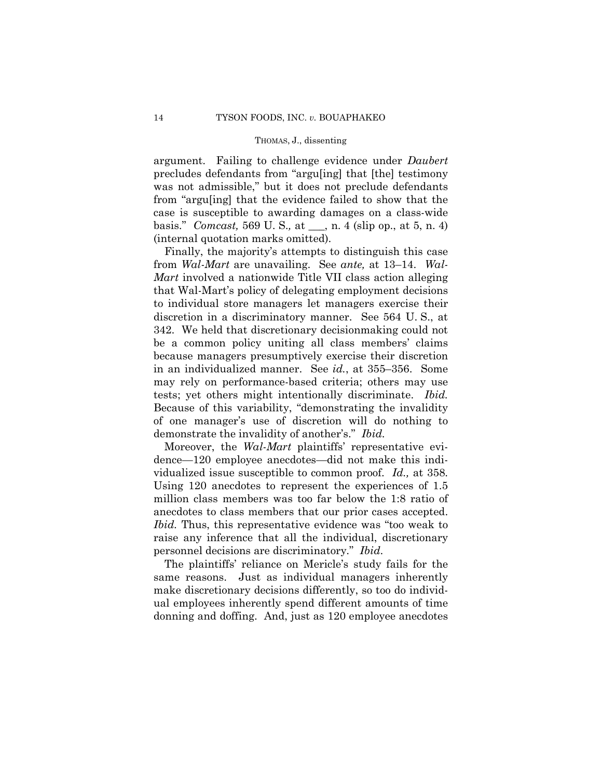argument. Failing to challenge evidence under *Daubert*  precludes defendants from "argu[ing] that [the] testimony was not admissible," but it does not preclude defendants from "argu[ing] that the evidence failed to show that the case is susceptible to awarding damages on a class-wide basis." *Comcast,* 569 U. S.*,* at \_\_\_, n. 4 (slip op., at 5, n. 4) (internal quotation marks omitted).

Finally, the majority's attempts to distinguish this case from *Wal-Mart* are unavailing. See *ante,* at 13–14. *Wal-Mart* involved a nationwide Title VII class action alleging that Wal-Mart's policy of delegating employment decisions to individual store managers let managers exercise their discretion in a discriminatory manner. See 564 U. S., at 342. We held that discretionary decisionmaking could not be a common policy uniting all class members' claims because managers presumptively exercise their discretion in an individualized manner. See *id.*, at 355–356. Some may rely on performance-based criteria; others may use tests; yet others might intentionally discriminate. *Ibid.* Because of this variability, "demonstrating the invalidity of one manager's use of discretion will do nothing to demonstrate the invalidity of another's." *Ibid.*

Moreover, the *Wal-Mart* plaintiffs' representative evidence—120 employee anecdotes—did not make this individualized issue susceptible to common proof. *Id.,* at 358. Using 120 anecdotes to represent the experiences of 1.5 million class members was too far below the 1:8 ratio of anecdotes to class members that our prior cases accepted. *Ibid.* Thus, this representative evidence was "too weak to raise any inference that all the individual, discretionary personnel decisions are discriminatory." *Ibid*.

The plaintiffs' reliance on Mericle's study fails for the same reasons. Just as individual managers inherently make discretionary decisions differently, so too do individual employees inherently spend different amounts of time donning and doffing. And, just as 120 employee anecdotes